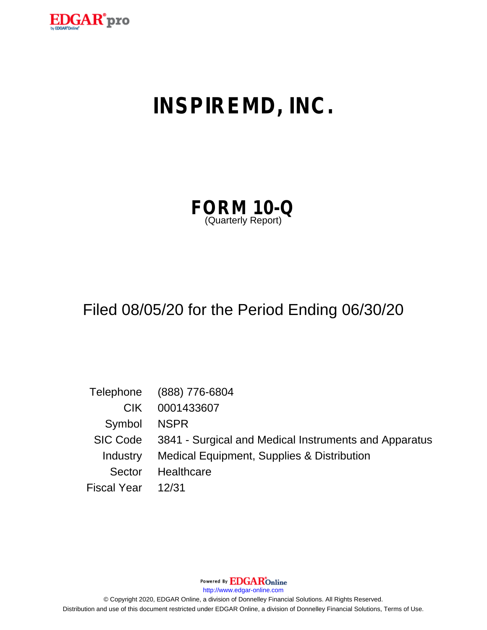

# **INSPIREMD, INC.**

| <b>FORM 10-Q</b>   |  |  |
|--------------------|--|--|
| (Quarterly Report) |  |  |

# Filed 08/05/20 for the Period Ending 06/30/20

|                    | Telephone (888) 776-6804                                       |
|--------------------|----------------------------------------------------------------|
| CIK.               | 0001433607                                                     |
| Symbol NSPR        |                                                                |
|                    | SIC Code 3841 - Surgical and Medical Instruments and Apparatus |
|                    | Industry Medical Equipment, Supplies & Distribution            |
| Sector             | Healthcare                                                     |
| Fiscal Year  12/31 |                                                                |

Powered By **EDGAR**Online

http://www.edgar-online.com

© Copyright 2020, EDGAR Online, a division of Donnelley Financial Solutions. All Rights Reserved. Distribution and use of this document restricted under EDGAR Online, a division of Donnelley Financial Solutions, Terms of Use.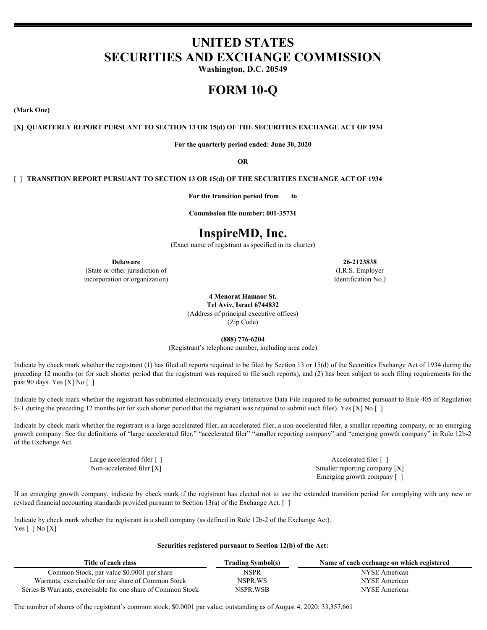# **UNITED STATES SECURITIES AND EXCHANGE COMMISSION**

**Washington, D.C. 20549**

# **FORM 10-Q**

**(Mark One)**

# **[X] QUARTERLY REPORT PURSUANT TO SECTION 13 OR 15(d) OF THE SECURITIES EXCHANGE ACT OF 1934**

**For the quarterly period ended: June 30, 2020**

**OR**

#### [ ] **TRANSITION REPORT PURSUANT TO SECTION 13 OR 15(d) OF THE SECURITIES EXCHANGE ACT OF 1934**

**For the transition period from to**

**Commission file number: 001-35731**

# **InspireMD, Inc.**

(Exact name of registrant as specified in its charter)

(State or other jurisdiction of (I.R.S. Employer incorporation or organization) incorporation or organization  $N_0$ .

**Delaware 26-2123838**

**4 Menorat Hamaor St.**

**Tel Aviv, Israel 6744832** (Address of principal executive offices)

(Zip Code)

**(888) 776-6204**

(Registrant's telephone number, including area code)

Indicate by check mark whether the registrant (1) has filed all reports required to be filed by Section 13 or 15(d) of the Securities Exchange Act of 1934 during the preceding 12 months (or for such shorter period that the registrant was required to file such reports), and (2) has been subject to such filing requirements for the past 90 days. Yes [X] No [ ]

Indicate by check mark whether the registrant has submitted electronically every Interactive Data File required to be submitted pursuant to Rule 405 of Regulation S-T during the preceding 12 months (or for such shorter period that the registrant was required to submit such files). Yes [X] No []

Indicate by check mark whether the registrant is a large accelerated filer, an accelerated filer, a non-accelerated filer, a smaller reporting company, or an emerging growth company. See the definitions of "large accelerated filer," "accelerated filer" "smaller reporting company" and "emerging growth company" in Rule 12b-2 of the Exchange Act.

Large accelerated filer  $\lceil \cdot \rceil$ 

Non-accelerated filer [X] Smaller reporting company [X] Emerging growth company [ ]

If an emerging growth company, indicate by check mark if the registrant has elected not to use the extended transition period for complying with any new or revised financial accounting standards provided pursuant to Section 13(a) of the Exchange Act. [ ]

Indicate by check mark whether the registrant is a shell company (as defined in Rule 12b-2 of the Exchange Act). Yes [ ] No [X]

# **Securities registered pursuant to Section 12(b) of the Act:**

| Title of each class                                          | <b>Frading Symbol(s)</b> | Name of each exchange on which registered |
|--------------------------------------------------------------|--------------------------|-------------------------------------------|
| Common Stock, par value \$0,0001 per share                   | NSPR                     | NYSE American                             |
| Warrants, exercisable for one share of Common Stock          | NSPR.WS                  | NYSE American                             |
| Series B Warrants, exercisable for one share of Common Stock | NSPR.WSB                 | NYSE American                             |

The number of shares of the registrant's common stock, \$0.0001 par value, outstanding as of August 4, 2020: 33,357,661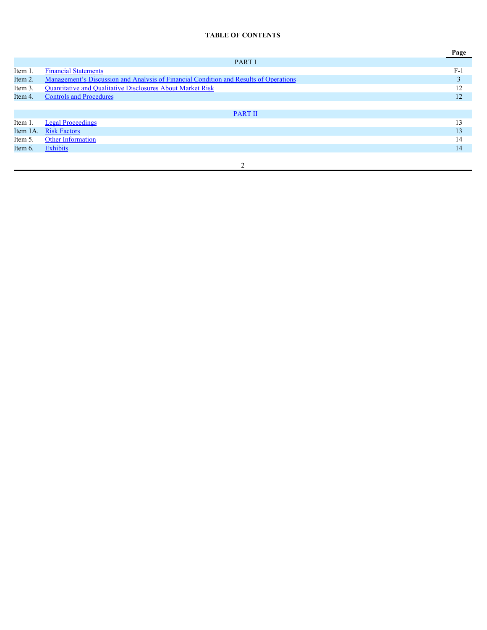# **TABLE OF CONTENTS**

|         |                                                                                       | Page  |
|---------|---------------------------------------------------------------------------------------|-------|
|         | PART I                                                                                |       |
| Item 1. | <b>Financial Statements</b>                                                           | $F-1$ |
| Item 2. | Management's Discussion and Analysis of Financial Condition and Results of Operations |       |
| Item 3. | Quantitative and Qualitative Disclosures About Market Risk                            | 12    |
| Item 4. | <b>Controls and Procedures</b>                                                        | 12    |
|         |                                                                                       |       |
|         | <b>PART II</b>                                                                        |       |
| Item 1. | <b>Legal Proceedings</b>                                                              |       |
|         | Item 1A. Risk Factors                                                                 | 13    |
| Item 5. | Other Information                                                                     | 14    |
| Item 6. | Exhibits                                                                              | 14    |
|         |                                                                                       |       |
|         |                                                                                       |       |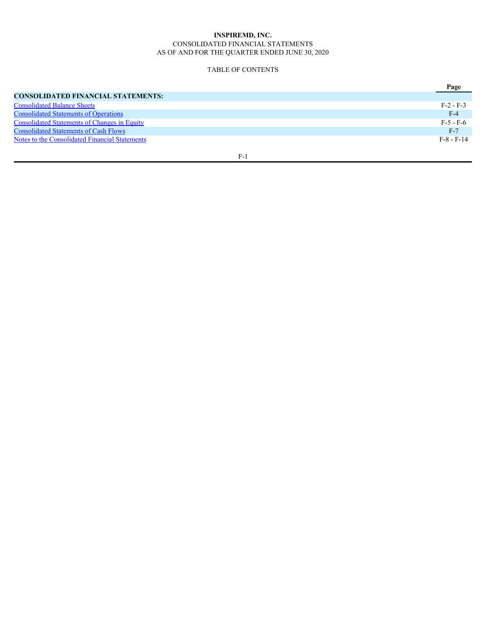# **INSPIREMD, INC.** CONSOLIDATED FINANCIAL STATEMENTS AS OF AND FOR THE QUARTER ENDED JUNE 30, 2020

# <span id="page-4-0"></span>TABLE OF CONTENTS

|                                                     | Page         |
|-----------------------------------------------------|--------------|
| <b>CONSOLIDATED FINANCIAL STATEMENTS:</b>           |              |
| <b>Consolidated Balance Sheets</b>                  | $F-2 - F-3$  |
| <b>Consolidated Statements of Operations</b>        | $F-4$        |
| <b>Consolidated Statements of Changes in Equity</b> | $F-5 - F-6$  |
| <b>Consolidated Statements of Cash Flows</b>        | $F-7$        |
| Notes to the Consolidated Financial Statements      | $F-8 - F-14$ |
|                                                     |              |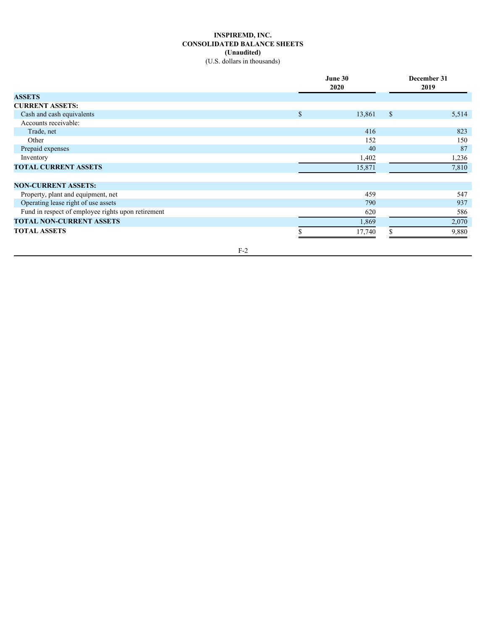# **INSPIREMD, INC. CONSOLIDATED BALANCE SHEETS (Unaudited)**

<span id="page-5-0"></span>(U.S. dollars in thousands)

|                                                    |       | June 30<br>2020 |     | December 31<br>2019 |  |  |
|----------------------------------------------------|-------|-----------------|-----|---------------------|--|--|
| <b>ASSETS</b>                                      |       |                 |     |                     |  |  |
| <b>CURRENT ASSETS:</b>                             |       |                 |     |                     |  |  |
| Cash and cash equivalents                          |       | 13,861          | -\$ | 5,514               |  |  |
| Accounts receivable:                               |       |                 |     |                     |  |  |
| Trade, net                                         |       | 416             |     | 823                 |  |  |
| Other                                              |       | 152             |     | 150                 |  |  |
| Prepaid expenses                                   |       | 40              |     | 87                  |  |  |
| Inventory                                          |       | 1,402           |     | 1,236               |  |  |
| <b>TOTAL CURRENT ASSETS</b>                        |       | 15,871          |     | 7,810               |  |  |
| <b>NON-CURRENT ASSETS:</b>                         |       |                 |     |                     |  |  |
| Property, plant and equipment, net                 |       | 459             |     | 547                 |  |  |
| Operating lease right of use assets                |       | 790             |     | 937                 |  |  |
| Fund in respect of employee rights upon retirement |       | 620             |     | 586                 |  |  |
| <b>TOTAL NON-CURRENT ASSETS</b>                    |       | 1,869           |     | 2,070               |  |  |
| <b>TOTAL ASSETS</b>                                |       | 17,740          |     | 9,880               |  |  |
|                                                    |       |                 |     |                     |  |  |
|                                                    | $F-2$ |                 |     |                     |  |  |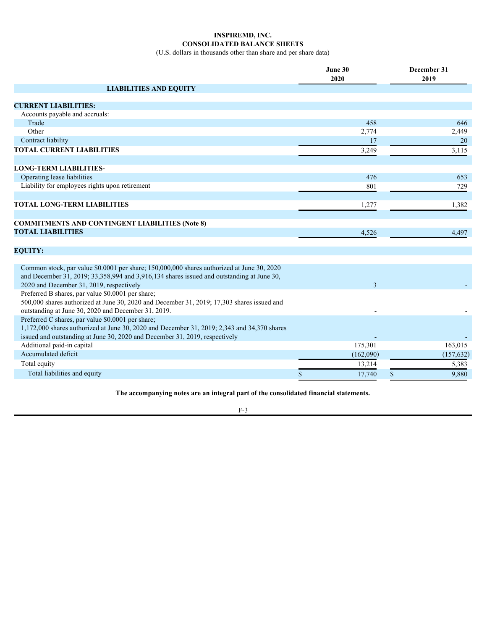# **INSPIREMD, INC. CONSOLIDATED BALANCE SHEETS**

(U.S. dollars in thousands other than share and per share data)

|                                                                                             | June 30<br>2020         | December 31<br>2019 |
|---------------------------------------------------------------------------------------------|-------------------------|---------------------|
| <b>LIABILITIES AND EQUITY</b>                                                               |                         |                     |
| <b>CURRENT LIABILITIES:</b>                                                                 |                         |                     |
| Accounts payable and accruals:                                                              |                         |                     |
| Trade                                                                                       | 458                     | 646                 |
| Other                                                                                       | 2,774                   | 2,449               |
| Contract liability                                                                          | 17                      | 20                  |
| <b>TOTAL CURRENT LIABILITIES</b>                                                            | 3,249                   | 3,115               |
| <b>LONG-TERM LIABILITIES-</b>                                                               |                         |                     |
| Operating lease liabilities                                                                 | 476                     | 653                 |
| Liability for employees rights upon retirement                                              | 801                     | 729                 |
| <b>TOTAL LONG-TERM LIABILITIES</b>                                                          | 1,277                   | 1,382               |
|                                                                                             |                         |                     |
| <b>COMMITMENTS AND CONTINGENT LIABILITIES (Note 8)</b>                                      |                         |                     |
| <b>TOTAL LIABILITIES</b>                                                                    | 4,526                   | 4,497               |
| <b>EQUITY:</b>                                                                              |                         |                     |
|                                                                                             |                         |                     |
| Common stock, par value \$0.0001 per share; 150,000,000 shares authorized at June 30, 2020  |                         |                     |
| and December 31, 2019; 33,358,994 and 3,916,134 shares issued and outstanding at June 30,   |                         |                     |
| 2020 and December 31, 2019, respectively                                                    | $\overline{\mathbf{3}}$ |                     |
| Preferred B shares, par value \$0.0001 per share;                                           |                         |                     |
| 500,000 shares authorized at June 30, 2020 and December 31, 2019; 17,303 shares issued and  |                         |                     |
| outstanding at June 30, 2020 and December 31, 2019.                                         |                         |                     |
| Preferred C shares, par value \$0.0001 per share;                                           |                         |                     |
| 1,172,000 shares authorized at June 30, 2020 and December 31, 2019; 2,343 and 34,370 shares |                         |                     |
| issued and outstanding at June 30, 2020 and December 31, 2019, respectively                 |                         |                     |
| Additional paid-in capital                                                                  | 175,301                 | 163,015             |
| Accumulated deficit                                                                         | (162,090)               | (157, 632)          |
| Total equity                                                                                | 13,214                  | 5,383               |
| Total liabilities and equity                                                                | 17,740                  | 9,880               |
|                                                                                             |                         |                     |

**The accompanying notes are an integral part of the consolidated financial statements.**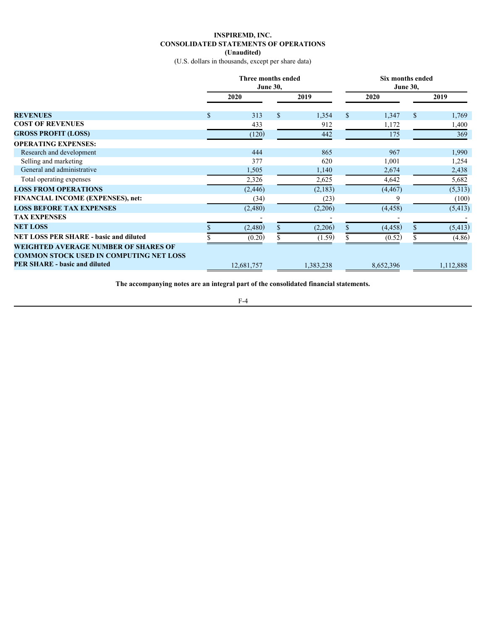# **INSPIREMD, INC. CONSOLIDATED STATEMENTS OF OPERATIONS (Unaudited)**

<span id="page-7-0"></span>(U.S. dollars in thousands, except per share data)

|                                                                                               |      | Three months ended<br><b>June 30,</b> |     |           | Six months ended<br><b>June 30,</b> |  |           |  |  |  |
|-----------------------------------------------------------------------------------------------|------|---------------------------------------|-----|-----------|-------------------------------------|--|-----------|--|--|--|
|                                                                                               | 2020 |                                       |     | 2019      | 2020                                |  | 2019      |  |  |  |
| <b>REVENUES</b>                                                                               |      | 313                                   | ЭŠ. | 1,354     | \$<br>1,347                         |  | 1,769     |  |  |  |
| <b>COST OF REVENUES</b>                                                                       |      | 433                                   |     | 912       | 1,172                               |  | 1,400     |  |  |  |
| <b>GROSS PROFIT (LOSS)</b>                                                                    |      | (120)                                 |     | 442       | 175                                 |  | 369       |  |  |  |
| <b>OPERATING EXPENSES:</b>                                                                    |      |                                       |     |           |                                     |  |           |  |  |  |
| Research and development                                                                      |      | 444                                   |     | 865       | 967                                 |  | 1,990     |  |  |  |
| Selling and marketing                                                                         |      | 377                                   |     | 620       | 1,001                               |  | 1,254     |  |  |  |
| General and administrative                                                                    |      | 1,505                                 |     | 1,140     | 2,674                               |  | 2,438     |  |  |  |
| Total operating expenses                                                                      |      | 2,326                                 |     | 2,625     | 4,642                               |  | 5,682     |  |  |  |
| <b>LOSS FROM OPERATIONS</b>                                                                   |      | (2, 446)                              |     | (2,183)   | (4, 467)                            |  | (5,313)   |  |  |  |
| FINANCIAL INCOME (EXPENSES), net:                                                             |      | (34)                                  |     | (23)      |                                     |  | (100)     |  |  |  |
| <b>LOSS BEFORE TAX EXPENSES</b>                                                               |      | (2,480)                               |     | (2,206)   | (4, 458)                            |  | (5, 413)  |  |  |  |
| <b>TAX EXPENSES</b>                                                                           |      |                                       |     |           |                                     |  |           |  |  |  |
| <b>NET LOSS</b>                                                                               |      | (2,480)                               |     | (2,206)   | (4, 458)                            |  | (5,413)   |  |  |  |
| <b>NET LOSS PER SHARE - basic and diluted</b>                                                 |      | (0.20)                                |     | (1.59)    | (0.52)                              |  | (4.86)    |  |  |  |
| <b>WEIGHTED AVERAGE NUMBER OF SHARES OF</b><br><b>COMMON STOCK USED IN COMPUTING NET LOSS</b> |      |                                       |     |           |                                     |  |           |  |  |  |
| <b>PER SHARE - basic and diluted</b>                                                          |      | 12,681,757                            |     | 1,383,238 | 8,652,396                           |  | 1,112,888 |  |  |  |
|                                                                                               |      |                                       |     |           |                                     |  |           |  |  |  |

**The accompanying notes are an integral part of the consolidated financial statements.**

$$
F-4
$$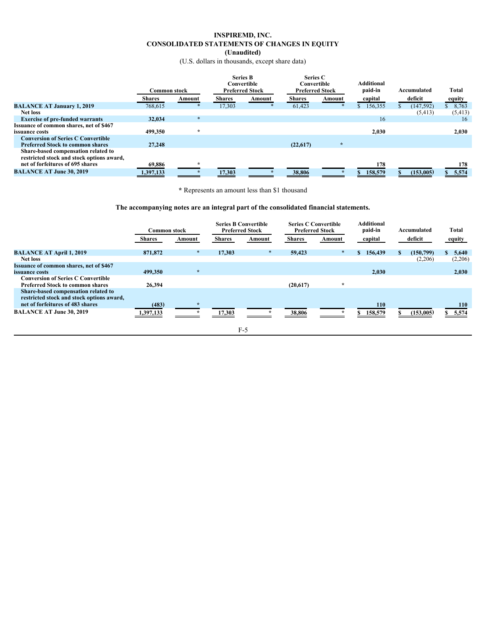# **INSPIREMD, INC. CONSOLIDATED STATEMENTS OF CHANGES IN EQUITY (Unaudited)**

<span id="page-8-0"></span>(U.S. dollars in thousands, except share data)

|                                                                                  | <b>Common stock</b> |        | <b>Series B</b><br>Convertible<br><b>Preferred Stock</b> |        | <b>Series C</b><br>Convertible<br><b>Preferred Stock</b> |        | <b>Additional</b><br>paid-in | Accumulated | Total    |  |
|----------------------------------------------------------------------------------|---------------------|--------|----------------------------------------------------------|--------|----------------------------------------------------------|--------|------------------------------|-------------|----------|--|
|                                                                                  | <b>Shares</b>       | Amount | <b>Shares</b>                                            | Amount | <b>Shares</b>                                            | Amount | capital                      | deficit     | equity   |  |
| <b>BALANCE AT January 1, 2019</b>                                                | 768,615             |        | 17,303                                                   |        | 61,423                                                   |        | 156,355                      | 147,592     | 8,763    |  |
| Net loss                                                                         |                     |        |                                                          |        |                                                          |        |                              | (5, 413)    | (5, 413) |  |
| <b>Exercise of pre-funded warrants</b>                                           | 32,034              |        |                                                          |        |                                                          |        | 16                           |             | 16       |  |
| Issuance of common shares, net of \$467                                          |                     |        |                                                          |        |                                                          |        |                              |             |          |  |
| issuance costs                                                                   | 499,350             |        |                                                          |        |                                                          |        | 2,030                        |             | 2,030    |  |
| <b>Conversion of Series C Convertible</b>                                        |                     |        |                                                          |        |                                                          |        |                              |             |          |  |
| <b>Preferred Stock to common shares</b>                                          | 27,248              |        |                                                          |        | (22,617)                                                 |        |                              |             |          |  |
| Share-based compensation related to<br>restricted stock and stock options award, |                     |        |                                                          |        |                                                          |        |                              |             |          |  |
| net of forfeitures of 695 shares                                                 | 69,886              |        |                                                          |        |                                                          |        | 178                          |             | 178      |  |
| <b>BALANCE AT June 30, 2019</b>                                                  | 1,397,133           |        | 17,303                                                   |        | 38,806                                                   |        | 158,579                      | (153,005)   | \$5,574  |  |

**\*** Represents an amount less than \$1 thousand

# **The accompanying notes are an integral part of the consolidated financial statements.**

|                                                                                                        | <b>Common stock</b> |         | <b>Series B Convertible</b><br><b>Preferred Stock</b> |        | <b>Series C Convertible</b><br><b>Preferred Stock</b> |               | <b>Additional</b><br>paid-in | Accumulated           | <b>Total</b>     |
|--------------------------------------------------------------------------------------------------------|---------------------|---------|-------------------------------------------------------|--------|-------------------------------------------------------|---------------|------------------------------|-----------------------|------------------|
|                                                                                                        | <b>Shares</b>       | Amount  | <b>Shares</b>                                         | Amount | Shares                                                | <b>Amount</b> | capital                      | deficit               | equity           |
| <b>BALANCE AT April 1, 2019</b><br>Net loss                                                            | 871,872             |         | 17,303                                                |        | 59,423                                                |               | 156,439                      | (150, 799)<br>(2,206) | 5,640<br>(2,206) |
| Issuance of common shares, net of \$467<br>issuance costs<br><b>Conversion of Series C Convertible</b> | 499,350             | $\star$ |                                                       |        |                                                       |               | 2,030                        |                       | 2,030            |
| <b>Preferred Stock to common shares</b><br>Share-based compensation related to                         | 26,394              |         |                                                       |        | (20,617)                                              |               |                              |                       |                  |
| restricted stock and stock options award,<br>net of forfeitures of 483 shares                          | (483)               |         |                                                       |        |                                                       |               | 110                          |                       | 110              |
| <b>BALANCE AT June 30, 2019</b>                                                                        | 1,397,133           |         | 17,303                                                |        | 38,806                                                |               | 158,579                      | (153,005)             | \$5,574          |
|                                                                                                        |                     |         |                                                       | $F-5$  |                                                       |               |                              |                       |                  |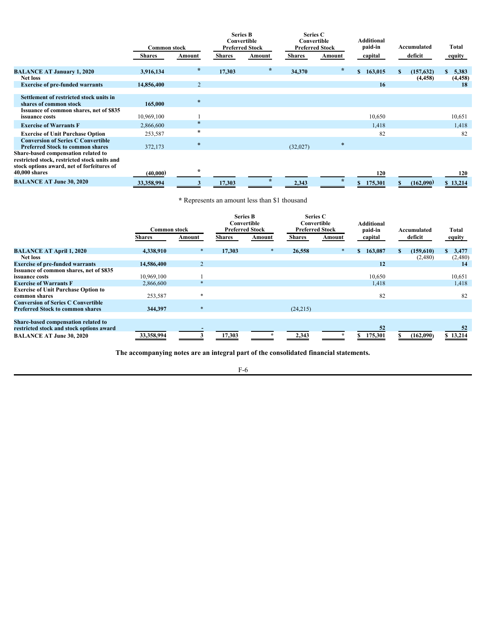|                                                                                                                                                    |               | <b>Common stock</b> |        | <b>Series B</b><br>Convertible<br><b>Preferred Stock</b> |          | <b>Series C</b><br>Convertible<br><b>Preferred Stock</b> |         | <b>Additional</b><br>paid-in | Accumulated         | Total |
|----------------------------------------------------------------------------------------------------------------------------------------------------|---------------|---------------------|--------|----------------------------------------------------------|----------|----------------------------------------------------------|---------|------------------------------|---------------------|-------|
|                                                                                                                                                    | <b>Shares</b> | Amount              | Shares | Amount                                                   | Shares   | Amount                                                   | capital | deficit                      | equity              |       |
| <b>BALANCE AT January 1, 2020</b><br><b>Net loss</b>                                                                                               | 3,916,134     |                     | 17,303 | $\star$                                                  | 34,370   |                                                          | 163,015 | (157, 632)<br>(4, 458)       | \$5,383<br>(4, 458) |       |
| <b>Exercise of pre-funded warrants</b>                                                                                                             | 14,856,400    | $\bigcap$           |        |                                                          |          |                                                          | 16      |                              | 18                  |       |
| Settlement of restricted stock units in<br>shares of common stock                                                                                  | 165,000       |                     |        |                                                          |          |                                                          |         |                              |                     |       |
| Issuance of common shares, net of \$835<br><i>issuance costs</i>                                                                                   | 10,969,100    |                     |        |                                                          |          |                                                          | 10,650  |                              | 10,651              |       |
| <b>Exercise of Warrants F</b>                                                                                                                      | 2,866,600     |                     |        |                                                          |          |                                                          | 1,418   |                              | 1,418               |       |
| <b>Exercise of Unit Purchase Option</b>                                                                                                            | 253,587       |                     |        |                                                          |          |                                                          | 82      |                              | 82                  |       |
| <b>Conversion of Series C Convertible</b><br><b>Preferred Stock to common shares</b>                                                               | 372,173       |                     |        |                                                          | (32,027) |                                                          |         |                              |                     |       |
| Share-based compensation related to<br>restricted stock, restricted stock units and<br>stock options award, net of forfeitures of<br>40,000 shares | (40,000)      |                     |        |                                                          |          |                                                          | 120     |                              | 120                 |       |
| <b>BALANCE AT June 30, 2020</b>                                                                                                                    | 33,358,994    |                     | 17,303 |                                                          | 2,343    |                                                          | 175,301 | (162,090)                    | \$13,214            |       |

**\*** Represents an amount less than \$1 thousand

|                                            |               | <b>Common stock</b> |               | <b>Series B</b><br>Convertible<br><b>Preferred Stock</b> |          | Series C<br>Convertible<br><b>Preferred Stock</b> |                    | Accumulated | <b>Total</b> |
|--------------------------------------------|---------------|---------------------|---------------|----------------------------------------------------------|----------|---------------------------------------------------|--------------------|-------------|--------------|
|                                            | <b>Shares</b> | Amount              | <b>Shares</b> | Amount                                                   | Shares   | Amount                                            | paid-in<br>capital | deficit     | equity       |
| <b>BALANCE AT April 1, 2020</b>            | 4,338,910     |                     | 17,303        |                                                          | 26,558   |                                                   | 163,087            | (159,610)   | \$3,477      |
| <b>Net loss</b>                            |               |                     |               |                                                          |          |                                                   |                    | (2,480)     | (2,480)      |
| <b>Exercise of pre-funded warrants</b>     | 14,586,400    |                     |               |                                                          |          |                                                   | 12                 |             | 14           |
| Issuance of common shares, net of \$835    |               |                     |               |                                                          |          |                                                   |                    |             |              |
| <i>issuance costs</i>                      | 10,969,100    |                     |               |                                                          |          |                                                   | 10,650             |             | 10,651       |
| <b>Exercise of Warrants F</b>              | 2,866,600     |                     |               |                                                          |          |                                                   | 1,418              |             | 1,418        |
| <b>Exercise of Unit Purchase Option to</b> |               |                     |               |                                                          |          |                                                   |                    |             |              |
| common shares                              | 253,587       |                     |               |                                                          |          |                                                   | 82                 |             | 82           |
| <b>Conversion of Series C Convertible</b>  |               |                     |               |                                                          |          |                                                   |                    |             |              |
| <b>Preferred Stock to common shares</b>    | 344,397       |                     |               |                                                          | (24,215) |                                                   |                    |             |              |
|                                            |               |                     |               |                                                          |          |                                                   |                    |             |              |
| Share-based compensation related to        |               |                     |               |                                                          |          |                                                   |                    |             |              |
| restricted stock and stock options award   |               |                     |               |                                                          |          |                                                   | 52                 |             | 52           |
| <b>BALANCE AT June 30, 2020</b>            | 33,358,994    |                     | 17,303        |                                                          | 2,343    |                                                   | 175,301            | (162,090)   | \$13,214     |
|                                            |               |                     |               |                                                          |          |                                                   |                    |             |              |

**The accompanying notes are an integral part of the consolidated financial statements.**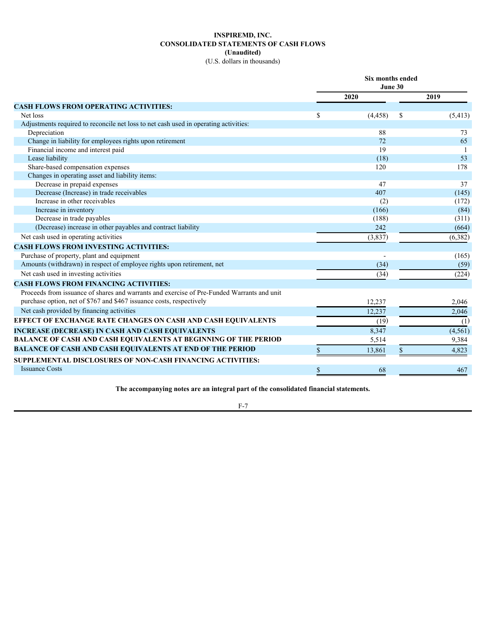# **INSPIREMD, INC. CONSOLIDATED STATEMENTS OF CASH FLOWS (Unaudited)**

<span id="page-10-0"></span>(U.S. dollars in thousands)

|                                                                                            |     | Six months ended<br>June 30 |    |          |
|--------------------------------------------------------------------------------------------|-----|-----------------------------|----|----------|
|                                                                                            |     | 2020                        |    | 2019     |
| <b>CASH FLOWS FROM OPERATING ACTIVITIES:</b>                                               |     |                             |    |          |
| Net loss                                                                                   | \$. | (4, 458)                    | -S | (5, 413) |
| Adjustments required to reconcile net loss to net cash used in operating activities:       |     |                             |    |          |
| Depreciation                                                                               |     | 88                          |    | 73       |
| Change in liability for employees rights upon retirement                                   |     | 72                          |    | 65       |
| Financial income and interest paid                                                         |     | 19                          |    |          |
| Lease liability                                                                            |     | (18)                        |    | 53       |
| Share-based compensation expenses                                                          |     | 120                         |    | 178      |
| Changes in operating asset and liability items:                                            |     |                             |    |          |
| Decrease in prepaid expenses                                                               |     | 47                          |    | 37       |
| Decrease (Increase) in trade receivables                                                   |     | 407                         |    | (145)    |
| Increase in other receivables                                                              |     | (2)                         |    | (172)    |
| Increase in inventory                                                                      |     | (166)                       |    | (84)     |
| Decrease in trade payables                                                                 |     | (188)                       |    | (311)    |
| (Decrease) increase in other payables and contract liability                               |     | 242                         |    | (664)    |
| Net cash used in operating activities                                                      |     | (3,837)                     |    | (6, 382) |
| <b>CASH FLOWS FROM INVESTING ACTIVITIES:</b>                                               |     |                             |    |          |
| Purchase of property, plant and equipment                                                  |     |                             |    | (165)    |
| Amounts (withdrawn) in respect of employee rights upon retirement, net                     |     | (34)                        |    | (59)     |
| Net cash used in investing activities                                                      |     | (34)                        |    | (224)    |
| <b>CASH FLOWS FROM FINANCING ACTIVITIES:</b>                                               |     |                             |    |          |
| Proceeds from issuance of shares and warrants and exercise of Pre-Funded Warrants and unit |     |                             |    |          |
| purchase option, net of \$767 and \$467 issuance costs, respectively                       |     | 12,237                      |    | 2,046    |
| Net cash provided by financing activities                                                  |     | 12,237                      |    | 2,046    |
| <b>EFFECT OF EXCHANGE RATE CHANGES ON CASH AND CASH EQUIVALENTS</b>                        |     | (19)                        |    | (1)      |
|                                                                                            |     |                             |    |          |
| <b>INCREASE (DECREASE) IN CASH AND CASH EQUIVALENTS</b>                                    |     | 8,347                       |    | (4, 561) |
| <b>BALANCE OF CASH AND CASH EQUIVALENTS AT BEGINNING OF THE PERIOD</b>                     |     | 5,514                       |    | 9,384    |
| <b>BALANCE OF CASH AND CASH EQUIVALENTS AT END OF THE PERIOD</b>                           |     | 13,861                      |    | 4,823    |
| SUPPLEMENTAL DISCLOSURES OF NON-CASH FINANCING ACTIVITIES:                                 |     |                             |    |          |
| <b>Issuance Costs</b>                                                                      |     | 68                          |    | 467      |
|                                                                                            |     |                             |    |          |

**The accompanying notes are an integral part of the consolidated financial statements.**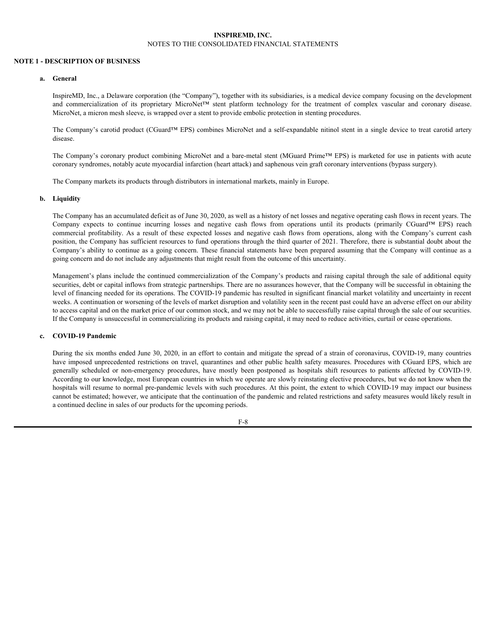# <span id="page-11-0"></span>**INSPIREMD, INC.** NOTES TO THE CONSOLIDATED FINANCIAL STATEMENTS

#### **NOTE 1 - DESCRIPTION OF BUSINESS**

# **a. General**

InspireMD, Inc., a Delaware corporation (the "Company"), together with its subsidiaries, is a medical device company focusing on the development **INSPIREMD, INC.**<br> **ESCRIPTION OF BUSINESS**<br> **General**<br>
InspireMD, Inc., a Delaware corporation (the "Company"), together with its subsidiaries, is a medical device company focusing on the development<br>
and commercializati MicroNet, a micron mesh sleeve, is wrapped over a stent to provide embolic protection in stenting procedures.

The Company's carotid product (CGuard™ EPS) combines MicroNet and a self-expandable nitinol stent in a single device to treat carotid artery disease.

The Company's coronary product combining MicroNet and a bare-metal stent (MGuard Prime™ EPS) is marketed for use in patients with acute coronary syndromes, notably acute myocardial infarction (heart attack) and saphenous vein graft coronary interventions (bypass surgery).

The Company markets its products through distributors in international markets, mainly in Europe.

#### **b. Liquidity**

The Company has an accumulated deficit as of June 30, 2020, as well as a history of net losses and negative operating cash flows in recent years. The NOTES TO THE CONSOLIDATED FINANCIAL STATEMENTS<br>
Company for the Company of the Company of the Company of the Company interaction of the properties and the company for the company of the original terms of the properties of SCRIFTION OF BISINESS<br>
SCRIFTION OF BISINESS<br>
Corectal<br>
chapter comparison (the "Compary"), together with its subsidiaries, is a motion device compary focusing on the development<br>
and connected/ization of its proprietary M position, the Company has sufficient resources to fund operations through the third quarter of 2021. Therefore, there is substantial doubt about the Company's ability to continue as a going concern. These financial statements have been prepared assuming that the Company will continue as a going concern and do not include any adjustments that might result from the outcome of this uncertainty.

Management's plans include the continued commercialization of the Company's products and raising capital through the sale of additional equity securities, debt or capital inflows from strategic partnerships. There are no assurances however, that the Company will be successful in obtaining the level of financing needed for its operations. The COVID-19 pandemic has resulted in significant financial market volatility and uncertainty in recent weeks. A continuation or worsening of the levels of market disruption and volatility seen in the recent past could have an adverse effect on our ability to access capital and on the market price of our common stock, and we may not be able to successfully raise capital through the sale of our securities. If the Company is unsuccessful in commercializing its products and raising capital, it may need to reduce activities, curtail or cease operations.

# **c. COVID-19 Pandemic**

During the six months ended June 30, 2020, in an effort to contain and mitigate the spread of a strain of coronavirus, COVID-19, many countries have imposed unprecedented restrictions on travel, quarantines and other public health safety measures. Procedures with CGuard EPS, which are MeanNed, a micros mesh sloop, is wrapped over a stort in provide embotic protection in stering procedures. The Company is carred product (CGazat<sup>104</sup> EPS) combines MetoVict and a single eleptronic sterin is single device t According to our knowledge, most European countries in which we operate are slowly reinstating elective procedures, but we do not know when the hospitals will resume to normal pre-pandemic levels with such procedures. At this point, the extent to which COVID-19 may impact our business cannot be estimated; however, we anticipate that the continuation of the pandemic and related restrictions and safety measures would likely result in a continued decline in sales of our products for the upcoming periods.

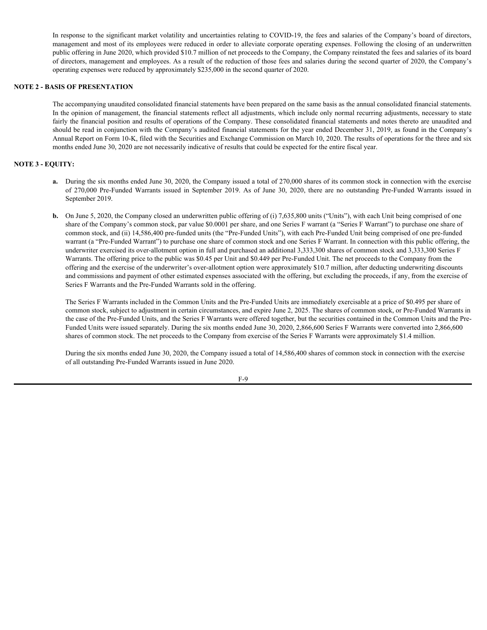In response to the significant market volatility and uncertainties relating to COVID-19, the fees and salaries of the Company's board of directors, management and most of its employees were reduced in order to alleviate corporate operating expenses. Following the closing of an underwritten public offering in June 2020, which provided \$10.7 million of net proceeds to the Company, the Company reinstated the fees and salaries of its board of directors, management and employees. As a result of the reduction of those fees and salaries during the second quarter of 2020, the Company's operating expenses were reduced by approximately \$235,000 in the second quarter of 2020.

# **NOTE 2 - BASIS OF PRESENTATION**

The accompanying unaudited consolidated financial statements have been prepared on the same basis as the annual consolidated financial statements. In the opinion of management, the financial statements reflect all adjustments, which include only normal recurring adjustments, necessary to state fairly the financial position and results of operations of the Company. These consolidated financial statements and notes thereto are unaudited and should be read in conjunction with the Company's audited financial statements for the year ended December 31, 2019, as found in the Company's Annual Report on Form 10-K, filed with the Securities and Exchange Commission on March 10, 2020. The results of operations for the three and six months ended June 30, 2020 are not necessarily indicative of results that could be expected for the entire fiscal year. sponse to the significant market volatility and uncertuinties relating to COVID-19, the fees and salaries of the Company's board of directors, generant and nots of its employees were reduced in order to alleviate copromite

# **NOTE 3 - EQUITY:**

- **a.** During the six months ended June 30, 2020, the Company issued a total of 270,000 shares of its common stock in connection with the exercise September 2019.
- **b.** On June 5, 2020, the Company closed an underwritten public offering of (i) 7,635,800 units ("Units"), with each Unit being comprised of one share of the Company's common stock, par value \$0.0001 per share, and one Series F warrant (a "Series F Warrant") to purchase one share of common stock, and (ii) 14,586,400 pre-funded units (the "Pre-Funded Units"), with each Pre-Funded Unit being comprised of one pre-funded warrant (a "Pre-Funded Warrant") to purchase one share of common stock and one Series F Warrant. In connection with this public offering, the underwriter exercised its over-allotment option in full and purchased an additional 3,333,300 shares of common stock and 3,333,300 Series F Warrants. The offering price to the public was \$0.45 per Unit and \$0.449 per Pre-Funded Unit. The net proceeds to the Company from the offering and the exercise of the underwriter's over-allotment option were approximately \$10.7 million, after deducting underwriting discounts and commissions and payment of other estimated expenses associated with the offering, but excluding the proceeds, if any, from the exercise of Series F Warrants and the Pre-Funded Warrants sold in the offering.

The Series F Warrants included in the Common Units and the Pre-Funded Units are immediately exercisable at a price of \$0.495 per share of common stock, subject to adjustment in certain circumstances, and expire June 2, 2025. The shares of common stock, or Pre-Funded Warrants in the case of the Pre-Funded Units, and the Series F Warrants were offered together, but the securities contained in the Common Units and the Pre-Funded Units were issued separately. During the six months ended June 30, 2020, 2,866,600 Series F Warrants were converted into 2,866,600 shares of common stock. The net proceeds to the Company from exercise of the Series F Warrants were approximately \$1.4 million.

During the six months ended June 30, 2020, the Company issued a total of 14,586,400 shares of common stock in connection with the exercise of all outstanding Pre-Funded Warrants issued in June 2020.

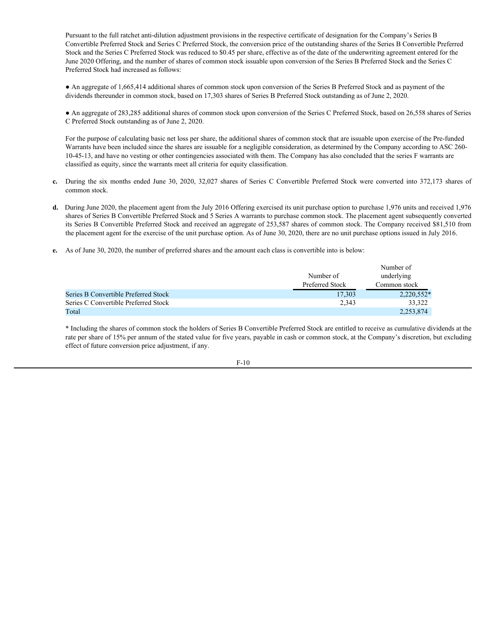Pursuant to the full ratchet anti-dilution adjustment provisions in the respective certificate of designation for the Company's Series B Convertible Preferred Stock and Series C Preferred Stock, the conversion price of the outstanding shares of the Series B Convertible Preferred Stock and the Series C Preferred Stock was reduced to \$0.45 per share, effective as of the date of the underwriting agreement entered for the June 2020 Offering, and the number of shares of common stock issuable upon conversion of the Series B Preferred Stock and the Series C Preferred Stock had increased as follows: **Pursuant to the full ratchet anti-dilution adjustment provisions in the respective certificate of designation for the Company's Series B<br>Convertible Preferred Stock and Series C Preferred Stock, the conversion price of th** 

● An aggregate of 1,665,414 additional shares of common stock upon conversion of the Series B Preferred Stock and as payment of the dividends thereunder in common stock, based on 17,303 shares of Series B Preferred Stock outstanding as of June 2, 2020.

● An aggregate of 283,285 additional shares of common stock upon conversion of the Series C Preferred Stock, based on 26,558 shares of Series C Preferred Stock outstanding as of June 2, 2020.

For the purpose of calculating basic net loss per share, the additional shares of common stock that are issuable upon exercise of the Pre-funded Warrants have been included since the shares are issuable for a negligible consideration, as determined by the Company according to ASC 260- 10-45-13, and have no vesting or other contingencies associated with them. The Company has also concluded that the series F warrants are classified as equity, since the warrants meet all criteria for equity classification.

- common stock.
- **d.** During June 2020, the placement agent from the July 2016 Offering exercised its unit purchase option to purchase 1,976 units and received 1,976 shares of Series B Convertible Preferred Stock and 5 Series A warrants to purchase common stock. The placement agent subsequently converted its Series B Convertible Preferred Stock and received an aggregate of 253,587 shares of common stock. The Company received \$81,510 from the placement agent for the exercise of the unit purchase option. As of June 30, 2020, there are no unit purchase options issued in July 2016.
- **e.** As of June 30, 2020, the number of preferred shares and the amount each class is convertible into is below:

|                                      |                 | Number of    |
|--------------------------------------|-----------------|--------------|
|                                      | Number of       | underlying   |
|                                      | Preferred Stock | Common stock |
| Series B Convertible Preferred Stock | 17,303          | 2,220,552*   |
| Series C Convertible Preferred Stock | 2,343           | 33,322       |
| Total                                |                 | 2,253,874    |

\* Including the shares of common stock the holders of Series B Convertible Preferred Stock are entitled to receive as cumulative dividends at the rate per share of 15% per annum of the stated value for five years, payable in cash or common stock, at the Company's discretion, but excluding effect of future conversion price adjustment, if any.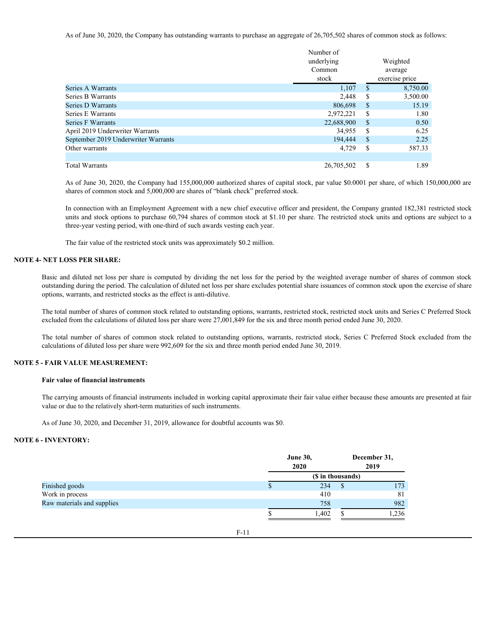As of June 30, 2020, the Company has outstanding warrants to purchase an aggregate of 26,705,502 shares of common stock as follows:

|                                                                                                                                                                                                                                                                                                                                                                                             | Number of     |                 |                |  |  |
|---------------------------------------------------------------------------------------------------------------------------------------------------------------------------------------------------------------------------------------------------------------------------------------------------------------------------------------------------------------------------------------------|---------------|-----------------|----------------|--|--|
|                                                                                                                                                                                                                                                                                                                                                                                             | underlying    |                 | Weighted       |  |  |
|                                                                                                                                                                                                                                                                                                                                                                                             | Common        |                 | average        |  |  |
|                                                                                                                                                                                                                                                                                                                                                                                             | stock         |                 | exercise price |  |  |
| Series A Warrants                                                                                                                                                                                                                                                                                                                                                                           | 1,107         | $\overline{\$}$ | 8,750.00       |  |  |
| Series B Warrants                                                                                                                                                                                                                                                                                                                                                                           | 2,448         | - S             | 3,500.00       |  |  |
| <b>Series D Warrants</b>                                                                                                                                                                                                                                                                                                                                                                    | 806,698       | $\mathbf{s}$    | 15.19          |  |  |
| Series E Warrants                                                                                                                                                                                                                                                                                                                                                                           | 2,972,221     | $\mathbf{s}$    | 1.80           |  |  |
| <b>Series F Warrants</b>                                                                                                                                                                                                                                                                                                                                                                    | 22,688,900 \$ |                 | 0.50           |  |  |
| April 2019 Underwriter Warrants                                                                                                                                                                                                                                                                                                                                                             | 34,955 \$     |                 | 6.25           |  |  |
| September 2019 Underwriter Warrants                                                                                                                                                                                                                                                                                                                                                         | 194,444 \$    |                 | 2.25           |  |  |
| Other warrants                                                                                                                                                                                                                                                                                                                                                                              |               |                 |                |  |  |
|                                                                                                                                                                                                                                                                                                                                                                                             | $4,729$ \$    |                 | 587.33         |  |  |
|                                                                                                                                                                                                                                                                                                                                                                                             |               |                 |                |  |  |
| <b>Total Warrants</b>                                                                                                                                                                                                                                                                                                                                                                       | 26,705,502 \$ |                 | 1.89           |  |  |
| three-year vesting period, with one-third of such awards vesting each year.<br>The fair value of the restricted stock units was approximately \$0.2 million.                                                                                                                                                                                                                                |               |                 |                |  |  |
| <b>NET LOSS PER SHARE:</b>                                                                                                                                                                                                                                                                                                                                                                  |               |                 |                |  |  |
| Basic and diluted net loss per share is computed by dividing the net loss for the period by the weighted average number of shares of common stock<br>outstanding during the period. The calculation of diluted net loss per share excludes potential share issuances of common stock upon the exercise of share<br>options, warrants, and restricted stocks as the effect is anti-dilutive. |               |                 |                |  |  |
| The total number of shares of common stock related to outstanding options, warrants, restricted stock, restricted stock units and Series C Preferred Stock<br>excluded from the calculations of diluted loss per share were 27,001,849 for the six and three month period ended June 30, 2020.                                                                                              |               |                 |                |  |  |
| The total number of shares of common stock related to outstanding options, warrants, restricted stock, Series C Preferred Stock excluded from the<br>calculations of diluted loss per share were 992,609 for the six and three month period ended June 30, 2019.                                                                                                                            |               |                 |                |  |  |
| <b>FAIR VALUE MEASUREMENT:</b>                                                                                                                                                                                                                                                                                                                                                              |               |                 |                |  |  |
| Fair value of financial instruments                                                                                                                                                                                                                                                                                                                                                         |               |                 |                |  |  |
| The carrying amounts of financial instruments included in working capital approximate their fair value either because these amounts are presented at fair                                                                                                                                                                                                                                   |               |                 |                |  |  |

# **NOTE 4- NET LOSS PER SHARE:**

# **NOTE 5 - FAIR VALUE MEASUREMENT:**

#### **Fair value of financial instruments**

The carrying amounts of financial instruments included in working capital approximate their fair value either because these amounts are presented at fair value or due to the relatively short-term maturities of such instruments.

As of June 30, 2020, and December 31, 2019, allowance for doubtful accounts was \$0.

#### **NOTE 6 - INVENTORY:**

|      |       | December 31,                         |
|------|-------|--------------------------------------|
| 2020 |       | 2019                                 |
|      |       |                                      |
|      | 234   | 173                                  |
|      | 410   | 81                                   |
|      | 758   | 982                                  |
|      | 1,402 | 1,236                                |
|      |       | <b>June 30,</b><br>(\$ in thousands) |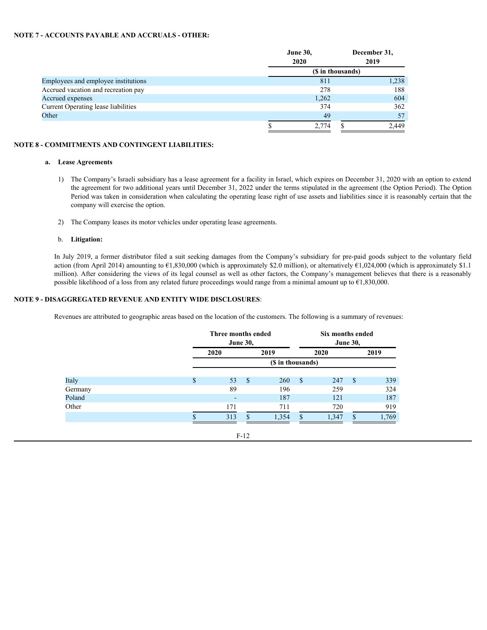# **NOTE 7 - ACCOUNTS PAYABLE AND ACCRUALS - OTHER:**

|                                                                                                                                                                                                                                                                                                                                                                                                                                            | <b>June 30,</b><br>2020 | December 31,<br>2019 |
|--------------------------------------------------------------------------------------------------------------------------------------------------------------------------------------------------------------------------------------------------------------------------------------------------------------------------------------------------------------------------------------------------------------------------------------------|-------------------------|----------------------|
|                                                                                                                                                                                                                                                                                                                                                                                                                                            | (\$ in thousands)       |                      |
| Employees and employee institutions                                                                                                                                                                                                                                                                                                                                                                                                        | 811                     | 1,238                |
| Accrued vacation and recreation pay                                                                                                                                                                                                                                                                                                                                                                                                        | 278                     | 188                  |
| Accrued expenses                                                                                                                                                                                                                                                                                                                                                                                                                           | 1,262                   | 604                  |
| Current Operating lease liabilities                                                                                                                                                                                                                                                                                                                                                                                                        | 374                     | 362                  |
| Other                                                                                                                                                                                                                                                                                                                                                                                                                                      | 49                      | 57                   |
|                                                                                                                                                                                                                                                                                                                                                                                                                                            | 2,774                   | 2,449<br>-S          |
| The Company's Israeli subsidiary has a lease agreement for a facility in Israel, which expires on December 31, 2020 with an option to extend<br>1)<br>the agreement for two additional years until December 31, 2022 under the terms stipulated in the agreement (the Option Period). The Option                                                                                                                                           |                         |                      |
|                                                                                                                                                                                                                                                                                                                                                                                                                                            |                         |                      |
| Period was taken in consideration when calculating the operating lease right of use assets and liabilities since it is reasonably certain that the<br>company will exercise the option.                                                                                                                                                                                                                                                    |                         |                      |
| The Company leases its motor vehicles under operating lease agreements.<br>2)                                                                                                                                                                                                                                                                                                                                                              |                         |                      |
| Litigation:<br>b.                                                                                                                                                                                                                                                                                                                                                                                                                          |                         |                      |
| In July 2019, a former distributor filed a suit seeking damages from the Company's subsidiary for pre-paid goods subject to the voluntary field                                                                                                                                                                                                                                                                                            |                         |                      |
| action (from April 2014) amounting to €1,830,000 (which is approximately \$2.0 million), or alternatively €1,024,000 (which is approximately \$1.1<br>million). After considering the views of its legal counsel as well as other factors, the Company's management believes that there is a reasonably<br>possible likelihood of a loss from any related future proceedings would range from a minimal amount up to $\epsilon$ 1,830,000. |                         |                      |
|                                                                                                                                                                                                                                                                                                                                                                                                                                            |                         |                      |
| - DISAGGREGATED REVENUE AND ENTITY WIDE DISCLOSURES:<br>Revenues are attributed to geographic areas based on the location of the customers. The following is a summary of revenues:                                                                                                                                                                                                                                                        |                         |                      |

# **NOTE 8 - COMMITMENTS AND CONTINGENT LIABILITIES:**

# **a. Lease Agreements**

- 1) The Company's Israeli subsidiary has a lease agreement for a facility in Israel, which expires on December 31, 2020 with an option to extend the agreement for two additional years until December 31, 2022 under the terms stipulated in the agreement (the Option Period). The Option Period was taken in consideration when calculating the operating lease right of use assets and liabilities since it is reasonably certain that the company will exercise the option.
- 2) The Company leases its motor vehicles under operating lease agreements.

#### b. **Litigation:**

# **NOTE 9 - DISAGGREGATED REVENUE AND ENTITY WIDE DISCLOSURES**:

|         |   | Three months ended<br><b>June 30,</b> |      |                   |            | Six months ended<br><b>June 30,</b> |      |      |  |
|---------|---|---------------------------------------|------|-------------------|------------|-------------------------------------|------|------|--|
|         |   | 2020                                  |      | 2019              |            | 2020                                |      | 2019 |  |
|         |   |                                       |      | (\$ in thousands) |            |                                     |      |      |  |
| Italy   | ъ | 53                                    | - \$ | 260               | $^{\circ}$ | 247                                 | - \$ | 339  |  |
| Germany |   | 89                                    |      | 196               |            | 259                                 |      | 324  |  |
| Poland  |   | $\overline{\phantom{0}}$              |      | 187               |            | 121                                 |      | 187  |  |
| Other   |   | 171                                   |      | 711               |            | 720                                 |      | 919  |  |
|         |   | 313                                   |      | 1,354             |            | 1,347                               |      | .769 |  |
|         |   |                                       |      |                   |            |                                     |      |      |  |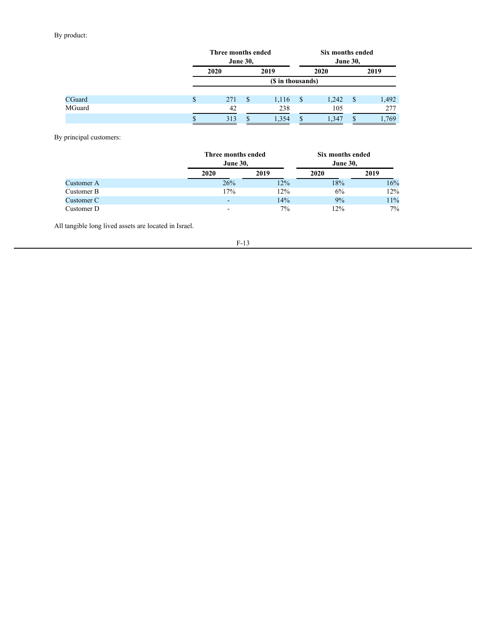|        | Three months ended<br><b>June 30,</b> |   |                   | Six months ended<br><b>June 30,</b> |      |  |       |  |
|--------|---------------------------------------|---|-------------------|-------------------------------------|------|--|-------|--|
|        | 2020                                  |   | 2019              |                                     | 2020 |  | 2019  |  |
|        |                                       |   | (\$ in thousands) |                                     |      |  |       |  |
| CGuard | 271                                   | D | 116               |                                     | .242 |  | ,492  |  |
| MGuard | 42                                    |   | 238               |                                     | 105  |  | 277   |  |
|        | 313                                   |   | .354              |                                     | .347 |  | .,769 |  |

By principal customers:

|            | Three months ended<br><b>June 30,</b> |      | Six months ended<br><b>June 30,</b> |      |  |
|------------|---------------------------------------|------|-------------------------------------|------|--|
|            | 2020                                  | 2019 | 2020                                | 2019 |  |
| Customer A | 26%                                   | 12%  | 18%                                 | 16%  |  |
| Customer B | 17%                                   | 12%  | 6%                                  | 12%  |  |
| Customer C | $\sim$                                | 14%  | 9%                                  | 11%  |  |
| Customer D |                                       | 7%   | 12%                                 | 7%   |  |

All tangible long lived assets are located in Israel.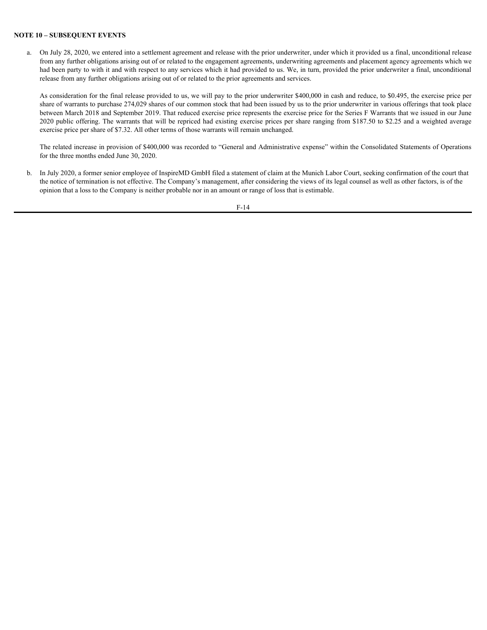# **NOTE 10 – SUBSEQUENT EVENTS**

a. On July 28, 2020, we entered into a settlement agreement and release with the prior underwriter, under which it provided us a final, unconditional release from any further obligations arising out of or related to the engagement agreements, underwriting agreements and placement agency agreements which we had been party to with it and with respect to any services which it had provided to us. We, in turn, provided the prior underwriter a final, unconditional release from any further obligations arising out of or related to the prior agreements and services.

As consideration for the final release provided to us, we will pay to the prior underwriter \$400,000 in cash and reduce, to \$0.495, the exercise price per share of warrants to purchase 274,029 shares of our common stock that had been issued by us to the prior underwriter in various offerings that took place between March 2018 and September 2019. That reduced exercise price represents the exercise price for the Series F Warrants that we issued in our June 2020 public offering. The warrants that will be repriced had existing exercise prices per share ranging from \$187.50 to \$2.25 and a weighted average exercise price per share of \$7.32. All other terms of those warrants will remain unchanged.

The related increase in provision of \$400,000 was recorded to "General and Administrative expense" within the Consolidated Statements of Operations for the three months ended June 30, 2020.

b. In July 2020, a former senior employee of InspireMD GmbH filed a statement of claim at the Munich Labor Court, seeking confirmation of the court that the notice of termination is not effective. The Company's management, after considering the views of its legal counsel as well as other factors, is of the opinion that a loss to the Company is neither probable nor in an amount or range of loss that is estimable.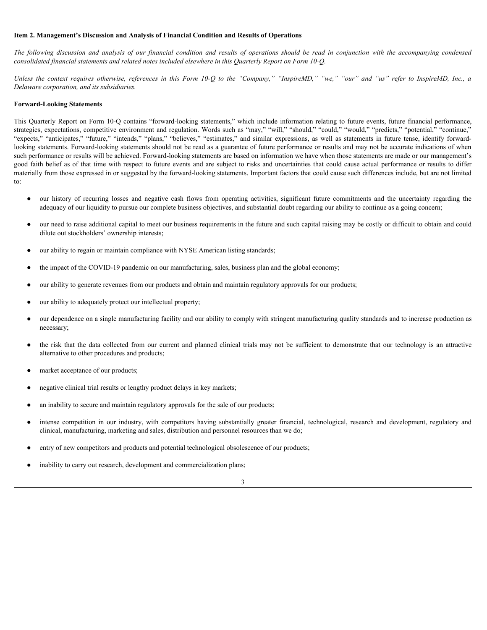#### <span id="page-18-0"></span>**Item 2. Management's Discussion and Analysis of Financial Condition and Results of Operations**

*consolidated financial statements and related notes included elsewhere in this Quarterly Report on Form 10-Q.*

**The following discussion and analysis of Financial Condition and Results of Operations**<br>*The following discussion and analysis of our financial condition and results of operations should be read in conjunction with the ac Delaware corporation, and its subsidiaries.*

# **Forward-Looking Statements**

**Item 2. Management's Discussion and Analysis of Financial Condition and Results of Operations**<br> *The following discussion and analysis of our financial condition and results of operations should be read in conjunction wit* This Quarterly Report on Form 10-Q contains "forward-looking statements," which include information relating to future events, future financial performance, strategies, expectations, competitive environment and regulation. Words such as "may," "will," "should," "could," "would," "predicts," "potential," "continue," Them 2. Management's Discussion and Analysis of Financial Condition and Results of Operations<br>
The following discussion and analysis of our financial condition and results of operations should be read in conjunction with t looking statements. Forward-looking statements should not be read as a guarantee of future performance or results and may not be accurate indications of when such performance or results will be achieved. Forward-looking statements are based on information we have when those statements are made or our management's good faith belief as of that time with respect to future events and are subject to risks and uncertainties that could cause actual performance or results to differ materially from those expressed in or suggested by the forward-looking statements. Important factors that could cause such differences include, but are not limited to: **2. Management's Discussion and Analysis of Financial Condition and Results of Operations**<br>
following discussion and analysis of our financial condition and results of operations should be read in conjunction with the acc Note corporation, ond its substitutents.<br>  $\alpha$ Plannel substitute on the data of from a collected in the mean of the simulation of the collected by the collected and the collected with the simulation of the collected  $\alpha$  In the list of order that evide from the competition of the maximal contrained that and the competition in complete the competition in the competition of restricted in the standard in the standard point of the substantia

- adequacy of our liquidity to pursue our complete business objectives, and substantial doubt regarding our ability to continue as a going concern;
- our need to raise additional capital to meet our business requirements in the future and such capital raising may be costly or difficult to obtain and could dilute out stockholders' ownership interests;
- our ability to regain or maintain compliance with NYSE American listing standards;
- the impact of the COVID-19 pandemic on our manufacturing, sales, business plan and the global economy;
- our ability to generate revenues from our products and obtain and maintain regulatory approvals for our products;
- our ability to adequately protect our intellectual property;
- our dependence on a single manufacturing facility and our ability to comply with stringent manufacturing quality standards and to increase production as necessary;
- alternative to other procedures and products;
- market acceptance of our products;
- negative clinical trial results or lengthy product delays in key markets;
- an inability to secure and maintain regulatory approvals for the sale of our products;
- clinical, manufacturing, marketing and sales, distribution and personnel resources than we do;
- entry of new competitors and products and potential technological obsolescence of our products;
- inability to carry out research, development and commercialization plans;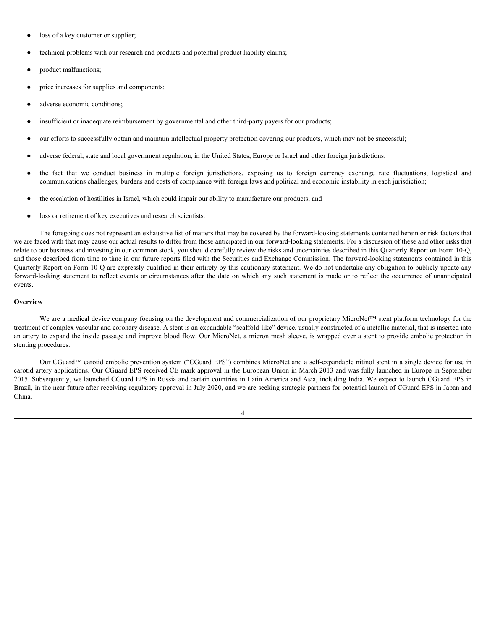- loss of a key customer or supplier;
- technical problems with our research and products and potential product liability claims;
- product malfunctions;
- price increases for supplies and components;
- adverse economic conditions;
- insufficient or inadequate reimbursement by governmental and other third-party payers for our products;
- our efforts to successfully obtain and maintain intellectual property protection covering our products, which may not be successful;
- adverse federal, state and local government regulation, in the United States, Europe or Israel and other foreign jurisdictions;
- loss of a key ousteoner or supplier,<br>
 trednical problems with our research and products and potential product lability claims;<br>
 price increases for supplies and components;<br>
 diverse economic conditions;<br>
 coref communications challenges, burdens and costs of compliance with foreign laws and political and economic instability in each jurisdiction;
- the escalation of hostilities in Israel, which could impair our ability to manufacture our products; and
- loss or retirement of key executives and research scientists.

The foregoing does not represent an exhaustive list of matters that may be covered by the forward-looking statements contained herein or risk factors that we are faced with that may cause our actual results to differ from those anticipated in our forward-looking statements. For a discussion of these and other risks that relate to our business and investing in our common stock, you should carefully review the risks and uncertainties described in this Quarterly Report on Form 10-Q, and those described from time to time in our future reports filed with the Securities and Exchange Commission. The forward-looking statements contained in this Quarterly Report on Form 10-Q are expressly qualified in their entirety by this cautionary statement. We do not undertake any obligation to publicly update any For each of a key customer or supplier.<br>
For the transmission of supplies and constraints,<br>
For price measures for supplies and components,<br>
Forward-looking statement is any such an any such any such any such any such as events.

#### **Overview Overview** *Overview*

We are a medical device company focusing on the development and commercialization of our proprietary MicroNet™ stent platform technology for the treatment of complex vascular and coronary disease. A stent is an expandable "scaffold-like" device, usually constructed of a metallic material, that is inserted into an artery to expand the inside passage and improve blood flow. Our MicroNet, a micron mesh sleeve, is wrapped over a stent to provide embolic protection in stenting procedures.

Our CGuard™ carotid embolic prevention system ("CGuard EPS") combines MicroNet and a self-expandable nitinol stent in a single device for use in carotid artery applications. Our CGuard EPS received CE mark approval in the European Union in March 2013 and was fully launched in Europe in September 2015. Subsequently, we launched CGuard EPS in Russia and certain countries in Latin America and Asia, including India. We expect to launch CGuard EPS in Brazil, in the near future after receiving regulatory approval in July 2020, and we are seeking strategic partners for potential launch of CGuard EPS in Japan and China.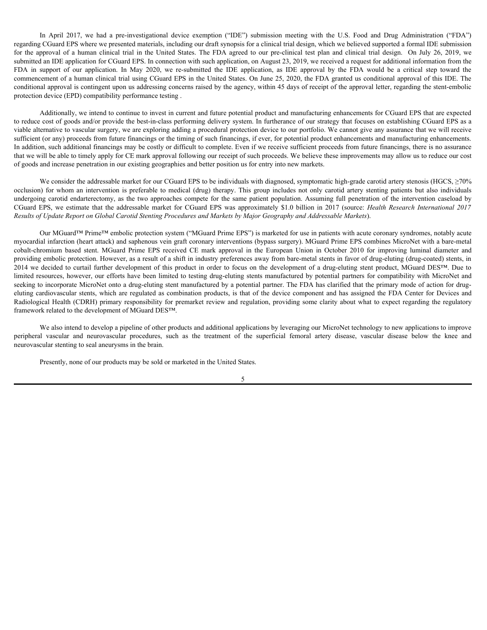In April 2017, we had a pre-investigational device exemption ("IDE") submission meeting with the U.S. Food and Drug Administration ("FDA")<br>CGuard EPS where we presented materials, including our draft synopsis for a clinica regarding CGuard EPS where we presented materials, including our draft synopsis for a clinical trial design, which we believed supported a formal IDE submission In April 2017, we had a pre-investigational device exemption ("IDE") submission meeting with the U.S. Food and Drug Administration ("FDA") regarding CGuard EPS where we presented materials, including our draft synopsis for submitted an IDE application for CGuard EPS. In connection with such application, on August 23, 2019, we received a request for additional information from the In April 2017, we had a pre-investigational device exemption ("IDE") submission meeting with the U.S. Food and Drug Administration ("FDA")<br>regarding Couard EPS where we presented materials, including our draft synopsis for commencement of a human clinical trial using CGuard EPS in the United States. On June 25, 2020, the FDA granted us conditional approval of this IDE. The conditional approval is contingent upon us addressing concerns raised by the agency, within 45 days of receipt of the approval letter, regarding the stent-embolic protection device (EPD) compatibility performance testing . In April 2012, we had a pre-investigational device exemption ("DDE") submission meeting with the U.S. Food and Drug Administration ("FDA") for the supported a proported an intervention (Circul Exploration (driven the supp In April 2017, we had a pre-moestigational device exemption ("IDE") submission meeting with the U.S. Food and Dring Administration ("IDA") for the represented intervention contribution and competent of the represented inte In April 2017, we had a pre-investigational device examption (TDE") submitsion meeting with the U.S. Food and Drug Administration (TDA") for the approval of a human clinical trial chief submitsion for the administration (

Additionally, we intend to continue to invest in current and future potential product and manufacturing enhancements for CGuard EPS that are expected to reduce cost of goods and/or provide the best-in-class performing delivery system. In furtherance of our strategy that focuses on establishing CGuard EPS as a viable alternative to vascular surgery, we are exploring adding a procedural protection device to our portfolio. We cannot give any assurance that we will receive sufficient (or any) proceeds from future financings or the timing of such financings, if ever, for potential product enhancements and manufacturing enhancements. In addition, such additional financings may be costly or difficult to complete. Even if we receive sufficient proceeds from future financings, there is no assurance that we will be able to timely apply for CE mark approval following our receipt of such proceeds. We believe these improvements may allow us to reduce our cost of goods and increase penetration in our existing geographies and better position us for entry into new markets.

We consider the addressable market for our CGuard EPS to be individuals with diagnosed, symptomatic high-grade carotid artery stenosis (HGCS, ≥70%) *Results of Update Report on Global Carotid Stenting Procedures and Markets by Major Geography and Addressable Markets*).

Our MGuard™ Prime™ embolic protection system ("MGuard Prime EPS") is marketed for use in patients with acute coronary syndromes, notably acute myocardial infarction (heart attack) and saphenous vein graft coronary interventions (bypass surgery). MGuard Prime EPS combines MicroNet with a bare-metal is April 2017, we had a pre-meeting<br>ioned electron representation (THE) submits meeting with the US steps. On scheme in the Seeing Mark at New Second Southern Comparation in the Comparation in the Comparation in the CE st providing embolic protection. However, as a result of a shift in industry preferences away from bare-metal stents in favor of drug-eluting (drug-coated) stents, in 2014 we decided to curtail further development of this product in order to focus on the development of a drug-eluting stent product, MGuard DES™. Due to limited resources, however, our efforts have been limited to testing drug-eluting stents manufactured by potential partners for compatibility with MicroNet and seeking to incorporate MicroNet onto a drug-eluting stent manufactured by a potential partner. The FDA has clarified that the primary mode of action for drugeluting cardiovascular stents, which are regulated as combination products, is that of the device component and has assigned the FDA Center for Devices and Radiological Health (CDRH) primary responsibility for premarket review and regulation, providing some clarity about what to expect regarding the regulatory framework related to the development of MGuard DES™. connection of a bunding content of the United State, State of the Colored State State State State State State State State State State State State State State State State State State State State State State State State Stat

We also intend to develop a pipeline of other products and additional applications by leveraging our MicroNet technology to new applications to improve neurovascular stenting to seal aneurysms in the brain.

Presently, none of our products may be sold or marketed in the United States.

5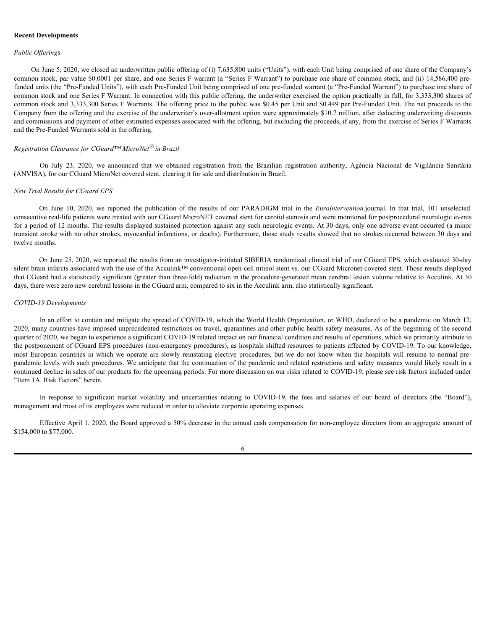#### **Recent Developments**

#### *Public Offering*s

On June 5, 2020, we closed an underwritten public offering of (i) 7,635,800 units ("Units"), with each Unit being comprised of one share of the Company's common stock, par value \$0.0001 per share, and one Series F warrant (a "Series F Warrant") to purchase one share of common stock, and (ii) 14,586,400 prefunded units (the "Pre-Funded Units"), with each Pre-Funded Unit being comprised of one pre-funded warrant (a "Pre-Funded Warrant") to purchase one share of common stock and one Series F Warrant. In connection with this public offering, the underwriter exercised the option practically in full, for 3,333,300 shares of common stock and 3,333,300 Series F Warrants. The offering price to the public was \$0.45 per Unit and \$0.449 per Pre-Funded Unit. The net proceeds to the Company from the offering and the exercise of the underwriter's over-allotment option were approximately \$10.7 million, after deducting underwriting discounts and commissions and payment of other estimated expenses associated with the offering, but excluding the proceeds, if any, from the exercise of Series F Warrants and the Pre-Funded Warrants sold in the offering. Developments<br> *Of Prince*<br> *June 25, 2020, we closed an underwriten public offering of (i) 7,655,800 units ("Units") to with each Unit being comprised of one share of the Company's<br>
3 June 25, 2020, we closed can transfer* **OF THE CON CONSERVANT CONDUP CONSERVANT CONSERVANT CONSERVANT CONSERVANT CONSERVANT CONSERVANT CONSERVANT CONSERVANT CONSERVANT CONSERVANT CONSERVANT CONSERVANT CONSERVANT CONSERVANT CONSERVANT CONSERVANT CONSERVANT CONSE** 

# *Registration Clearance for CGuard™ MicroNet® in Brazil*

(ANVISA), for our CGuard MicroNet covered stent, clearing it for sale and distribution in Brazil.

#### *New Trial Results for CGuard EPS*

consecutive real-life patients were treated with our CGuard MicroNET covered stent for carotid stenosis and were monitored for postprocedural neurologic events for a period of 12 months. The results displayed sustained protection against any such neurologic events. At 30 days, only one adverse event occurred (a minor transient stroke with no other strokes, myocardial infarctions, or deaths). Furthermore, those study results showed that no strokes occurred between 30 days and twelve months.

On June 25, 2020, we reported the results from an investigator-initiated SIBERIA randomized clinical trial of our CGuard EPS, which evaluated 30-day silent brain infarcts associated with the use of the Acculink™ conventional open-cell nitinol stent vs. our CGuard Micronet-covered stent. Those results displayed that CGuard had a statistically significant (greater than three-fold) reduction in the procedure-generated mean cerebral lesion volume relative to Acculink. At 30 days, there were zero new cerebral lessons in the CGuard arm, compared to six in the Acculink arm, also statistically significant.

### *COVID-19 Developments*

In an effort to contain and mitigate the spread of COVID-19, which the World Health Organization, or WHO, declared to be a pandemic on March 12, 2020, many countries have imposed unprecedented restrictions on travel, quarantines and other public health safety measures. As of the beginning of the second quarter of 2020, we began to experience a significant COVID-19 related impact on our financial condition and results of operations, which we primarily attribute to the postponement of CGuard EPS procedures (non-emergency procedures), as hospitals shifted resources to patients affected by COVID-19. To our knowledge, euromma such and not Warrant In commetten with the politic locitrig be undirivident to extend the proper formed that, in 1333.300 shares of the energy former stars and its proper formed the energy formed and the energy f pandemic levels with such procedures. We anticipate that the continuation of the pandemic and related restrictions and safety measures would likely result in a continued decline in sales of our products for the upcoming periods. For more discussion on our risks related to COVID-19, please see risk factors included under "Item 1A. Risk Factors" herein. Ion Georate for Consert<sup>no</sup> Microsofte<sup>16</sup> in Breadi<br>
On July 23, 2020, we smanneed that we obtained registration from the Buzilian registration sutherity. Agéncia National de Vigilizeia Sankinia<br>
A), for our Consel Metro

management and most of its employees were reduced in order to alleviate corporate operating expenses.

Effective April 1, 2020, the Board approved a 50% decrease in the annual cash compensation for non-employee directors from an aggregate amount of \$154,000 to \$77,000.

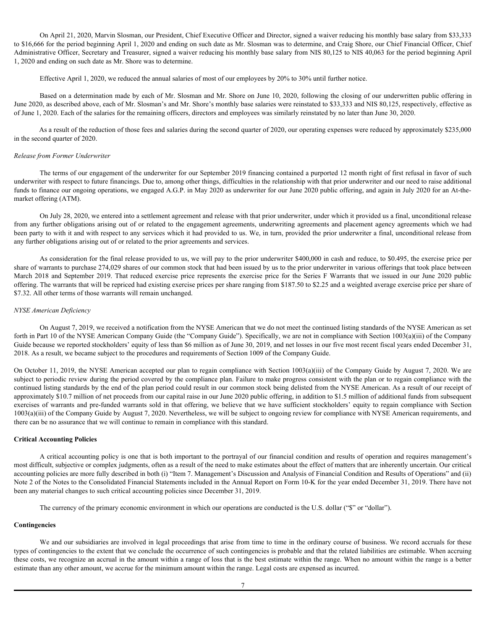On April 21, 2020, Marvin Slosman, our President, Chief Executive Officer and Director, signed a waiver reducing his monthly base salary from \$33,333 to \$16,666 for the period beginning April 1, 2020 and ending on such date as Mr. Slosman was to determine, and Craig Shore, our Chief Financial Officer, Chief Administrative Officer, Secretary and Treasurer, signed a waiver reducing his monthly base salary from NIS 80,125 to NIS 40,063 for the period beginning April 1, 2020 and ending on such date as Mr. Shore was to determine.

Effective April 1, 2020, we reduced the annual salaries of most of our employees by 20% to 30% until further notice.

Based on a determination made by each of Mr. Slosman and Mr. Shore on June 10, 2020, following the closing of our underwritten public offering in June 2020, as described above, each of Mr. Slosman's and Mr. Shore's monthly base salaries were reinstated to \$33,333 and NIS 80,125, respectively, effective as of June 1, 2020. Each of the salaries for the remaining officers, directors and employees was similarly reinstated by no later than June 30, 2020.

As a result of the reduction of those fees and salaries during the second quarter of 2020, our operating expenses were reduced by approximately \$235,000 in the second quarter of 2020.

#### *Release from Former Underwriter*

The terms of our engagement of the underwriter for our September 2019 financing contained a purported 12 month right of first refusal in favor of such underwriter with respect to future financings. Due to, among other things, difficulties in the relationship with that prior underwriter and our need to raise additional funds to finance our ongoing operations, we engaged A.G.P. in May 2020 as underwriter for our June 2020 public offering, and again in July 2020 for an At-themarket offering (ATM).

On July 28, 2020, we entered into a settlement agreement and release with that prior underwriter, under which it provided us a final, unconditional release from any further obligations arising out of or related to the engagement agreements, underwriting agreements and placement agency agreements which we had been party to with it and with respect to any services which it had provided to us. We, in turn, provided the prior underwriter a final, unconditional release from any further obligations arising out of or related to the prior agreements and services.

As consideration for the final release provided to us, we will pay to the prior underwriter \$400,000 in cash and reduce, to \$0.495, the exercise price per share of warrants to purchase 274,029 shares of our common stock that had been issued by us to the prior underwriter in various offerings that took place between On April 31.200. Marvia Shaman, our President Chief Executive Officer and Diretor, signed a waiver reduced plan to the Series and Coincil Sole. David Fine to the France of Fine Coincil Sole. The Solenness and coincil Sole offering. The warrants that will be repriced had existing exercise prices per share ranging from \$187.50 to \$2.25 and a weighted average exercise price per share of \$7.32. All other terms of those warrants will remain unchanged.

#### *NYSE American Deficiency*

On August 7, 2019, we received a notification from the NYSE American that we do not meet the continued listing standards of the NYSE American as set forth in Part 10 of the NYSE American Company Guide (the "Company Guide"). Specifically, we are not in compliance with Section 1003(a)(iii) of the Company Guide because we reported stockholders' equity of less than \$6 million as of June 30, 2019, and net losses in our five most recent fiscal years ended December 31, 2018. As a result, we became subject to the procedures and requirements of Section 1009 of the Company Guide.

On October 11, 2019, the NYSE American accepted our plan to regain compliance with Section 1003(a)(iii) of the Company Guide by August 7, 2020. We are subject to periodic review during the period covered by the compliance plan. Failure to make progress consistent with the plan or to regain compliance with the continued listing standards by the end of the plan period could result in our common stock being delisted from the NYSE American. As a result of our receipt of approximately \$10.7 million of net proceeds from our capital raise in our June 2020 public offering, in addition to \$1.5 million of additional funds from subsequent exercises of warrants and pre-funded warrants sold in that offering, we believe that we have sufficient stockholders' equity to regain compliance with Section 1003(a)(iii) of the Company Guide by August 7, 2020. Nevertheless, we will be subject to ongoing review for compliance with NYSE American requirements, and there can be no assurance that we will continue to remain in compliance with this standard.

#### **Critical Accounting Policies**

A critical accounting policy is one that is both important to the portrayal of our financial condition and results of operation and requires management's most difficult, subjective or complex judgments, often as a result of the need to make estimates about the effect of matters that are inherently uncertain. Our critical accounting policies are more fully described in both (i) "Item 7. Management's Discussion and Analysis of Financial Condition and Results of Operations" and (ii) Note 2 of the Notes to the Consolidated Financial Statements included in the Annual Report on Form 10-K for the year ended December 31, 2019. There have not been any material changes to such critical accounting policies since December 31, 2019.

The currency of the primary economic environment in which our operations are conducted is the U.S. dollar ("\$" or "dollar").

# **Contingencies**

We and our subsidiaries are involved in legal proceedings that arise from time to time in the ordinary course of business. We record accruals for these types of contingencies to the extent that we conclude the occurrence of such contingencies is probable and that the related liabilities are estimable. When accruing these costs, we recognize an accrual in the amount within a range of loss that is the best estimate within the range. When no amount within the range is a better estimate than any other amount, we accrue for the minimum amount within the range. Legal costs are expensed as incurred.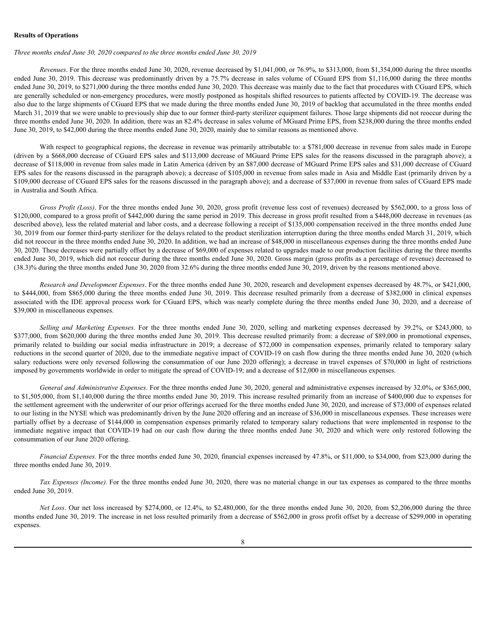#### **Results of Operations**

#### *Three months ended June 30, 2020 compared to the three months ended June 30, 2019*

*Revenues*. For the three months ended June 30, 2020, revenue decreased by \$1,041,000, or 76.9%, to \$313,000, from \$1,354,000 during the three months ended June 30, 2019. This decrease was predominantly driven by a 75.7% decrease in sales volume of CGuard EPS from \$1,116,000 during the three months ended June 30, 2019, to \$271,000 during the three months ended June 30, 2020. This decrease was mainly due to the fact that procedures with CGuard EPS, which are generally scheduled or non-emergency procedures, were mostly postponed as hospitals shifted resources to patients affected by COVID-19. The decrease was also due to the large shipments of CGuard EPS that we made during the three months ended June 30, 2019 of backlog that accumulated in the three months ended March 31, 2019 that we were unable to previously ship due to our former third-party sterilizer equipment failures. Those large shipments did not reoccur during the three months ended June 30, 2020. In addition, there was an 82.4% decrease in sales volume of MGuard Prime EPS, from \$238,000 during the three months ended June 30, 2019, to \$42,000 during the three months ended June 30, 2020, mainly due to similar reasons as mentioned above. **Results of Operations**<br> **Results of the distribution of the state and solid More 20, 2022**<br> *Research during Consequent* for the state and solid More 20, 2023. This distribution in the significant line in the significant *Revense.* For the internal months rudd June 30, 2020, escape also cases are selected by 31.0110. A 5.9% to 51.31.000. This decrease was months and Selling the three months selle. Sell 2019, to 321, 2019, or \$21, 2019, or

With respect to geographical regions, the decrease in revenue was primarily attributable to: a \$781,000 decrease in revenue from sales made in Europe (driven by a \$668,000 decrease of CGuard EPS sales and \$113,000 decrease of MGuard Prime EPS sales for the reasons discussed in the paragraph above); a decrease of \$118,000 in revenue from sales made in Latin America (driven by an \$87,000 decrease of MGuard Prime EPS sales and \$31,000 decrease of CGuard EPS sales for the reasons discussed in the paragraph above); a decrease of \$105,000 in revenue from sales made in Asia and Middle East (primarily driven by a \$109,000 decrease of CGuard EPS sales for the reasons discussed in the paragraph above); and a decrease of \$37,000 in revenue from sales of CGuard EPS made in Australia and South Africa.

*Gross Profit (Loss)*. For the three months ended June 30, 2020, gross profit (revenue less cost of revenues) decreased by \$562,000, to a gross loss of \$120,000, compared to a gross profit of \$442,000 during the same period in 2019. This decrease in gross profit resulted from a \$448,000 decrease in revenues (as described above), less the related material and labor costs, and a decrease following a receipt of \$135,000 compensation received in the three months ended June 30, 2019 from our former third-party sterilizer for the delays related to the product sterilization interruption during the three months ended March 31, 2019, which did not reoccur in the three months ended June 30, 2020. In addition, we had an increase of \$48,000 in miscellaneous expenses during the three months ended June 30, 2020. These decreases were partially offset by a decrease of \$69,000 of expenses related to upgrades made to our production facilities during the three months ended June 30, 2019, which did not reoccur during the three months ended June 30, 2020. Gross margin (gross profits as a percentage of revenue) decreased to (38.3)% during the three months ended June 30, 2020 from 32.6% during the three months ended June 30, 2019, driven by the reasons mentioned above. primarity and the SNP sixtend of the tries media of media in the sixtend various our social primarical information of the sixtend media information of the first media information of the first media for the first media for shall also the lage shypnests of CGI/mid TPS bin of relations prior by reducting the lage 10, 2010 of which gas the consumpled in the Pay following the consumer states of the consumer states of the consumer states of the immediate the the most sheet of the consensus the property above) a decrease of 110.000 in events in each relation the property above) and a solicity in particular and Solicity in the significant the significant state of

*Research and Development Expenses*. For the three months ended June 30, 2020, research and development expenses decreased by 48.7%, or \$421,000, associated with the IDE approval process work for CGuard EPS, which was nearly complete during the three months ended June 30, 2020, and a decrease of \$39,000 in miscellaneous expenses.

\$377,000, from \$620,000 during the three months ended June 30, 2019. This decrease resulted primarily from: a decrease of \$89,000 in promotional expenses, reductions in the second quarter of 2020, due to the immediate negative impact of COVID-19 on cash flow during the three months ended June 30, 2020 (which imposed by governments worldwide in order to mitigate the spread of COVID-19; and a decrease of \$12,000 in miscellaneous expenses.

*General and Administrative Expenses*. For the three months ended June 30, 2020, general and administrative expenses increased by 32.0%, or \$365,000, to \$1,505,000, from \$1,140,000 during the three months ended June 30, 2019. This increase resulted primarily from an increase of \$400,000 due to expenses for the settlement agreement with the underwriter of our prior offerings accrued for the three months ended June 30, 2020, and increase of \$73,000 of expenses related to our listing in the NYSE which was predominantly driven by the June 2020 offering and an increase of \$36,000 in miscellaneous expenses. These increases were partially offset by a decrease of \$144,000 in compensation expenses primarily related to temporary salary reductions that were implemented in response to the consummation of our June 2020 offering.

*Financial Expenses.* For the three months ended June 30, 2020, financial expenses increased by 47.8%, or \$11,000, to \$34,000, from \$23,000 during the three months ended June 30, 2019.

*Tax Expenses (Income).* For the three months ended June 30, 2020, there was no material change in our tax expenses as compared to the three months ended June 30, 2019.

*Net Loss*. Our net loss increased by \$274,000, or 12.4%, to \$2,480,000, for the three months ended June 30, 2020, from \$2,206,000 during the three months ended June 30, 2019. The increase in net loss resulted primarily from a decrease of \$562,000 in gross profit offset by a decrease of \$299,000 in operating expenses.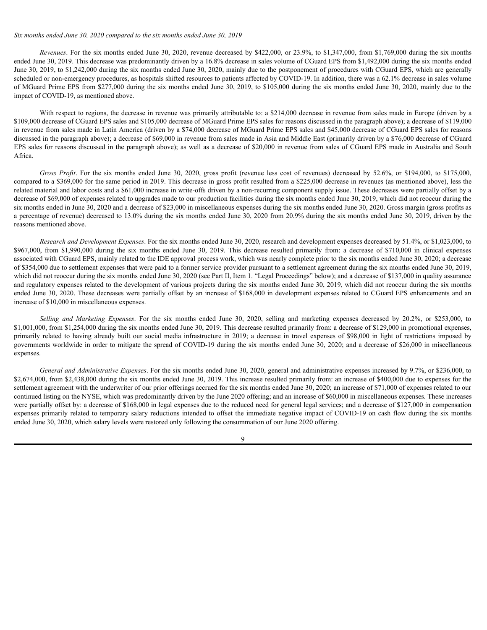#### *Six months ended June 30, 2020 compared to the six months ended June 30, 2019*

*Revenues*. For the six months ended June 30, 2020, revenue decreased by \$422,000, or 23.9%, to \$1,347,000, from \$1,769,000 during the six months ended June 30, 2019. This decrease was predominantly driven by a 16.8% decrease in sales volume of CGuard EPS from \$1,492,000 during the six months ended June 30, 2019, to \$1,242,000 during the six months ended June 30, 2020, mainly due to the postponement of procedures with CGuard EPS, which are generally scheduled or non-emergency procedures, as hospitals shifted resources to patients affected by COVID-19. In addition, there was a 62.1% decrease in sales volume of MGuard Prime EPS from \$277,000 during the six months ended June 30, 2019, to \$105,000 during the six months ended June 30, 2020, mainly due to the impact of COVID-19, as mentioned above.

With respect to regions, the decrease in revenue was primarily attributable to: a \$214,000 decrease in revenue from sales made in Europe (driven by a \$109,000 decrease of CGuard EPS sales and \$105,000 decrease of MGuard Prime EPS sales for reasons discussed in the paragraph above); a decrease of \$119,000 in revenue from sales made in Latin America (driven by a \$74,000 decrease of MGuard Prime EPS sales and \$45,000 decrease of CGuard EPS sales for reasons discussed in the paragraph above); a decrease of \$69,000 in revenue from sales made in Asia and Middle East (primarily driven by a \$76,000 decrease of CGuard EPS sales for reasons discussed in the paragraph above); as well as a decrease of \$20,000 in revenue from sales of CGuard EPS made in Australia and South Africa.

*Gross Profit*. For the six months ended June 30, 2019<br>*Revenues.* For the six months ended June 30, 2020, evenue decreases by \$422,000, or 23.9%, to \$1,347,000, from \$1,769,000 during the six months<br>2019, to \$1,242,000 du compared to a \$369,000 for the same period in 2019. This decrease in gross profit resulted from a \$225,000 decrease in revenues (as mentioned above), less the related material and labor costs and a \$61,000 increase in write-offs driven by a non-recurring component supply issue. These decreases were partially offset by a decrease of \$69,000 of expenses related to upgrades made to our production facilities during the six months ended June 30, 2019, which did not reoccur during the six months ended in June 30, 2020 and a decrease of \$23,000 in miscellaneous expenses during the six months ended June 30, 2020. Gross margin (gross profits as a percentage of revenue) decreased to 13.0% during the six months ended June 30, 2020 from 20.9% during the six months ended June 30, 2019, driven by the reasons mentioned above.

*Research and Development Expenses*. For the six months ended June 30, 2020, research and development expenses decreased by 51.4%, or \$1,023,000, to Xis months ended Jone 30, 2020 (compared to the six months onted Jone 30, 2019<br>
Reader Strategies in the six months ended June 30, 2020, teresting because on also redunned CCounsel in Six 3140,000 them is 1,992,000 during associated with CGuard EPS, mainly related to the IDE approval process work, which was nearly complete prior to the six months ended June 30, 2020; a decrease of \$354,000 due to settlement expenses that were paid to a former service provider pursuant to a settlement agreement during the six months ended June 30, 2019, which did not reoccur during the six months ended June 30, 2020 (see Part II, Item 1. "Legal Proceedings" below); and a decrease of \$137,000 in quality assurance and regulatory expenses related to the development of various projects during the six months ended June 30, 2019, which did not reoccur during the six months ended June 30, 2020. These decreases were partially offset by an increase of \$168,000 in development expenses related to CGuard EPS enhancements and an increase of \$10,000 in miscellaneous expenses. se 30, 2019 1.138 decreases procedures and marketing by 168 decrease in selle solection and Marketing and Selling the Six months conditionally and the ended and Marketing and Marketing and Marketing and Marketing and Mark prior distributed or to convert procedure, as looping is sintered to relate alleady by COUD-10 a built and expert to the media alleady built and the social in alleady in the social in alleady in the social in alleady in th After.<br>
Grow Profit For the six menths ended Ince 36, 2020, gress profit freemal isst cost of revenues decreases by 52.6%, or \$154,000, to \$175,000, compared to a \$59,000 for the same poinds in 2017. This decreases in gro

\$1,001,000, from \$1,254,000 during the six months ended June 30, 2019. This decrease resulted primarily from: a decrease of \$129,000 in promotional expenses, governments worldwide in order to mitigate the spread of COVID-19 during the six months ended June 30, 2020; and a decrease of \$26,000 in miscellaneous expenses.

*General and Administrative Expenses*. For the six months ended June 30, 2020, general and administrative expenses increased by 9.7%, or \$236,000, to \$2,674,000, from \$2,438,000 during the six months ended June 30, 2019. This increase resulted primarily from: an increase of \$400,000 due to expenses for the settlement agreement with the underwriter of our prior offerings accrued for the six months ended June 30, 2020; an increase of \$71,000 of expenses related to our continued listing on the NYSE, which was predominantly driven by the June 2020 offering; and an increase of \$60,000 in miscellaneous expenses. These increases were partially offset by: a decrease of \$168,000 in legal expenses due to the reduced need for general legal services; and a decrease of \$127,000 in compensation ended June 30, 2020, which salary levels were restored only following the consummation of our June 2020 offering.

9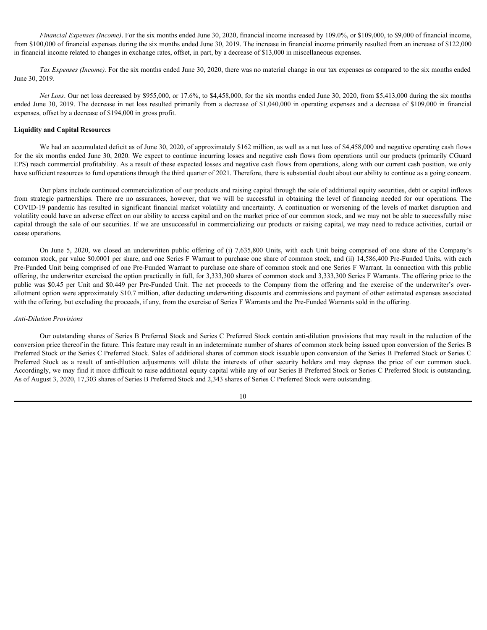*Financial Expenses (Income)*. For the six months ended June 30, 2020, financial income increased by 109.0%, or \$109,000, to \$9,000 of financial income, from \$100,000 of financial expenses during the six months ended June 30, 2019. The increase in financial income primarily resulted from an increase of \$122,000 in financial income related to changes in exchange rates, offset, in part, by a decrease of \$13,000 in miscellaneous expenses.

*Tax Expenses (Income).* For the six months ended June 30, 2020, there was no material change in our tax expenses as compared to the six months ended June 30, 2019.

*Net Loss*. Our net loss decreased by \$955,000, or 17.6%, to \$4,458,000, for the six months ended June 30, 2020, from \$5,413,000 during the six months ended June 30, 2019. The decrease in net loss resulted primarily from a decrease of \$1,040,000 in operating expenses and a decrease of \$109,000 in financial expenses, offset by a decrease of \$194,000 in gross profit.

#### **Liquidity and Capital Resources**

We had an accumulated deficit as of June 30, 2020, of approximately \$162 million, as well as a net loss of \$4,458,000 and negative operating cash flows for the six months ended June 30, 2020. We expect to continue incurring losses and negative cash flows from operations until our products (primarily CGuard EPS) reach commercial profitability. As a result of these expected losses and negative cash flows from operations, along with our current cash position, we only have sufficient resources to fund operations through the third quarter of 2021. Therefore, there is substantial doubt about our ability to continue as a going concern.

Our plans include continued commercialization of our products and raising capital through the sale of additional equity securities, debt or capital inflows *From call Expenses (hecome).* For the six months ended June 30, 2020, financial income increased by 109.0%, or \$109.000, or \$50,000 or financial income, from 55,000 or financial income related to changes in exchange netw COVID-19 pandemic has resulted in significant financial market volatility and uncertainty. A continuation or worsening of the levels of market disruption and volatility could have an adverse effect on our ability to access capital and on the market price of our common stock, and we may not be able to successfully raise capital through the sale of our securities. If we are unsuccessful in commercializing our products or raising capital, we may need to reduce activities, curtail or cease operations.

*Frances! Expense (hecme).* For the six months endel June 30, 2020, financial income increased by 109.0%, and \$10,000, to 99,000 of financial income, 0,000 of financial income and contacts an endel and society from the is common stock, par value \$0.0001 per share, and one Series F Warrant to purchase one share of common stock, and (ii) 14,586,400 Pre-Funded Units, with each Pre-Funded Unit being comprised of one Pre-Funded Warrant to purchase one share of common stock and one Series F Warrant. In connection with this public offering, the underwriter exercised the option practically in full, for 3,333,300 shares of common stock and 3,333,300 Series F Warrants. The offering price to the Framecial Expense (decome). For the is months ended has 30, 2020, famoui incomes increased by 100%, et \$100,000, to 85,0000 of famouis incomes from 100, 000 of famouis incomes increased for the six energy in the six energy allotment option were approximately \$10.7 million, after deducting underwriting discounts and commissions and payment of other estimated expenses associated with the offering, but excluding the proceeds, if any, from the exercise of Series F Warrants and the Pre-Funded Warrants sold in the offering. ended for a 2019 The decrease of 1810 The resulted preferred Stock as a result of anti-dilution and the stock of Stock as a result of Stock as a result of Control interest of Stock as a result of Control interest including

#### *Anti-Dilution Provisions*

Our outstanding shares of Series B Preferred Stock and Series C Preferred Stock contain anti-dilution provisions that may result in the reduction of the conversion price thereof in the future. This feature may result in an indeterminate number of shares of common stock being issued upon conversion of the Series B Preferred Stock or the Series C Preferred Stock. Sales of additional shares of common stock issuable upon conversion of the Series B Preferred Stock or Series C Accordingly, we may find it more difficult to raise additional equity capital while any of our Series B Preferred Stock or Series C Preferred Stock is outstanding. As of August 3, 2020, 17,303 shares of Series B Preferred Stock and 2,343 shares of Series C Preferred Stock were outstanding.

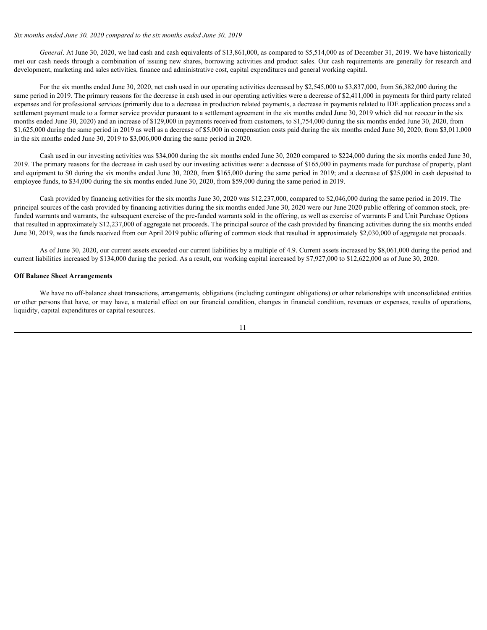#### *Six months ended June 30, 2020 compared to the six months ended June 30, 2019*

*General*. At June 30, 2020, we had cash and cash equivalents of \$13,861,000, as compared to \$5,514,000 as of December 31, 2019. We have historically met our cash needs through a combination of issuing new shares, borrowing activities and product sales. Our cash requirements are generally for research and development, marketing and sales activities, finance and administrative cost, capital expenditures and general working capital.

For the six months ended June 30, 2020, net cash used in our operating activities decreased by \$2,545,000 to \$3,837,000, from \$6,382,000 during the same period in 2019. The primary reasons for the decrease in cash used in our operating activities were a decrease of \$2,411,000 in payments for third party related expenses and for professional services (primarily due to a decrease in production related payments, a decrease in payments related to IDE application process and a settlement payment made to a former service provider pursuant to a settlement agreement in the six months ended June 30, 2019 which did not reoccur in the six months ended June 30, 2020) and an increase of \$129,000 in payments received from customers, to \$1,754,000 during the six months ended June 30, 2020, from \$1,625,000 during the same period in 2019 as well as a decrease of \$5,000 in compensation costs paid during the six months ended June 30, 2020, from \$3,011,000 in the six months ended June 30, 2019 to \$3,006,000 during the same period in 2020.

Cash used in our investing activities was \$34,000 during the six months ended June 30, 2020 compared to \$224,000 during the six months ended June 30, 2019. The primary reasons for the decrease in cash used by our investing activities were: a decrease of \$165,000 in payments made for purchase of property, plant and equipment to \$0 during the six months ended June 30, 2020, from \$165,000 during the same period in 2019; and a decrease of \$25,000 in cash deposited to employee funds, to \$34,000 during the six months ended June 30, 2020, from \$59,000 during the same period in 2019.

Cash provided by financing activities for the six months June 30, 2020 was \$12,237,000, compared to \$2,046,000 during the same period in 2019. The principal sources of the cash provided by financing activities during the six months ended June 30, 2020 were our June 2020 public offering of common stock, prefunded warrants and warrants, the subsequent exercise of the pre-funded warrants sold in the offering, as well as exercise of warrants F and Unit Purchase Options that resulted in approximately \$12,237,000 of aggregate net proceeds. The principal source of the cash provided by financing activities during the six months ended June 30, 2019, was the funds received from our April 2019 public offering of common stock that resulted in approximately \$2,030,000 of aggregate net proceeds.

As of June 30, 2020, our current assets exceeded our current liabilities by a multiple of 4.9. Current assets increased by \$8,061,000 during the period and current liabilities increased by \$134,000 during the period. As a result, our working capital increased by \$7,927,000 to \$12,622,000 as of June 30, 2020.

#### **Off Balance Sheet Arrangements**

We have no off-balance sheet transactions, arrangements, obligations (including contingent obligations) or other relationships with unconsolidated entities or other persons that have, or may have, a material effect on our financial condition, changes in financial condition, revenues or expenses, results of operations, liquidity, capital expenditures or capital resources.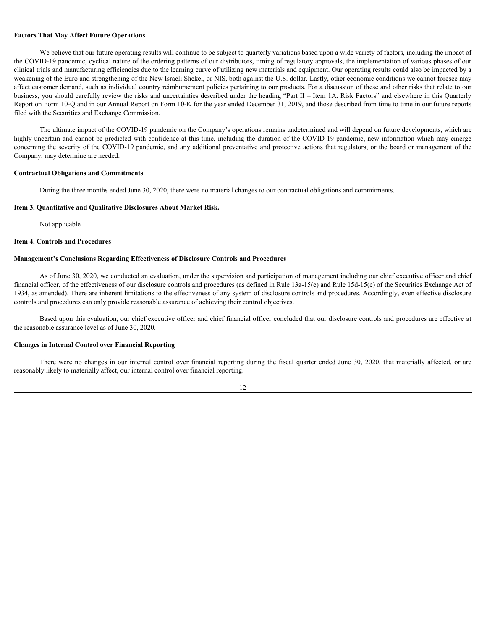#### **Factors That May Affect Future Operations**

We believe that our future operating results will continue to be subject to quarterly variations based upon a wide variety of factors, including the impact of the COVID-19 pandemic, cyclical nature of the ordering patterns of our distributors, timing of regulatory approvals, the implementation of various phases of our clinical trials and manufacturing efficiencies due to the learning curve of utilizing new materials and equipment. Our operating results could also be impacted by a weakening of the Euro and strengthening of the New Israeli Shekel, or NIS, both against the U.S. dollar. Lastly, other economic conditions we cannot foresee may affect customer demand, such as individual country reimbursement policies pertaining to our products. For a discussion of these and other risks that relate to our business, you should carefully review the risks and uncertainties described under the heading "Part II – Item 1A. Risk Factors" and elsewhere in this Quarterly Report on Form 10-Q and in our Annual Report on Form 10-K for the year ended December 31, 2019, and those described from time to time in our future reports filed with the Securities and Exchange Commission.

The ultimate impact of the COVID-19 pandemic on the Company's operations remains undetermined and will depend on future developments, which are highly uncertain and cannot be predicted with confidence at this time, including the duration of the COVID-19 pandemic, new information which may emerge concerning the severity of the COVID-19 pandemic, and any additional preventative and protective actions that regulators, or the board or management of the Company, may determine are needed. The m 10-Q and those absorptions Form 10-K for the year ended December 31, 2019, and those described from three to financial responses the COVID-19 pandemic on the Control of the Covid-19 outer the company's operations ter

#### **Contractual Obligations and Commitments**

During the three months ended June 30, 2020, there were no material changes to our contractual obligations and commitments.

#### <span id="page-27-0"></span>**Item 3. Quantitative and Qualitative Disclosures About Market Risk.**

Not applicable

# <span id="page-27-1"></span>**Item 4. Controls and Procedures**

#### **Management's Conclusions Regarding Effectiveness of Disclosure Controls and Procedures**

As of June 30, 2020, we conducted an evaluation, under the supervision and participation of management including our chief executive officer and chief financial officer, of the effectiveness of our disclosure controls and procedures (as defined in Rule 13a-15(e) and Rule 15d-15(e) of the Securities Exchange Act of 1934, as amended). There are inherent limitations to the effectiveness of any system of disclosure controls and procedures. Accordingly, even effective disclosure controls and procedures can only provide reasonable assurance of achieving their control objectives.

Based upon this evaluation, our chief executive officer and chief financial officer concluded that our disclosure controls and procedures are effective at the reasonable assurance level as of June 30, 2020.

# **Changes in Internal Control over Financial Reporting**

reasonably likely to materially affect, our internal control over financial reporting.

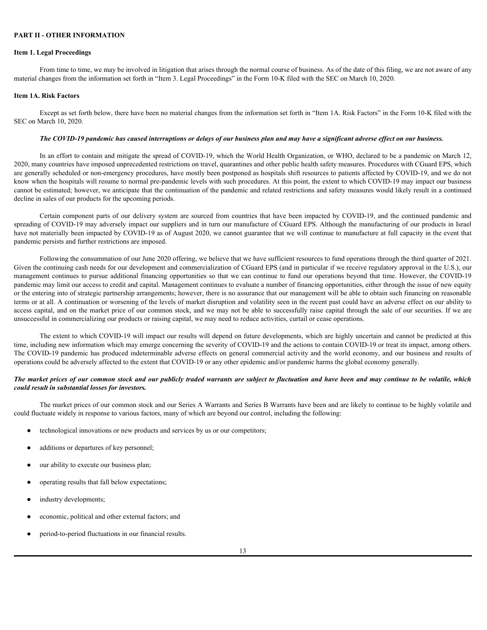#### <span id="page-28-0"></span>**PART II - OTHER INFORMATION**

# <span id="page-28-1"></span>**Item 1. Legal Proceedings**

From time to time, we may be involved in litigation that arises through the normal course of business. As of the date of this filing, we are not aware of any material changes from the information set forth in "Item 3. Legal Proceedings" in the Form 10-K filed with the SEC on March 10, 2020.

#### <span id="page-28-2"></span>**Item 1A. Risk Factors**

Except as set forth below, there have been no material changes from the information set forth in "Item 1A. Risk Factors" in the Form 10-K filed with the SEC on March 10, 2020.

#### *The COVID-19 pandemic has caused interruptions or delays of our business plan and may have a significant adverse effect on our business.*

In an effort to contain and mitigate the spread of COVID-19, which the World Health Organization, or WHO, declared to be a pandemic on March 12, 2020, many countries have imposed unprecedented restrictions on travel, quarantines and other public health safety measures. Procedures with CGuard EPS, which are generally scheduled or non-emergency procedures, have mostly been postponed as hospitals shift resources to patients affected by COVID-19, and we do not know when the hospitals will resume to normal pre-pandemic levels with such procedures. At this point, the extent to which COVID-19 may impact our business cannot be estimated; however, we anticipate that the continuation of the pandemic and related restrictions and safety measures would likely result in a continued decline in sales of our products for the upcoming periods.

Certain component parts of our delivery system are sourced from countries that have been impacted by COVID-19, and the continued pandemic and spreading of COVID-19 may adversely impact our suppliers and in turn our manufacture of CGuard EPS. Although the manufacturing of our products in Israel have not materially been impacted by COVID-19 as of August 2020, we cannot guarantee that we will continue to manufacture at full capacity in the event that pandemic persists and further restrictions are imposed.

Following the consummation of our June 2020 offering, we believe that we have sufficient resources to fund operations through the third quarter of 2021. Given the continuing cash needs for our development and commercialization of CGuard EPS (and in particular if we receive regulatory approval in the U.S.), our management continues to pursue additional financing opportunities so that we can continue to fund our operations beyond that time. However, the COVID-19 pandemic may limit our access to credit and capital. Management continues to evaluate a number of financing opportunities, either through the issue of new equity or the entering into of strategic partnership arrangements; however, there is no assurance that our management will be able to obtain such financing on reasonable terms or at all. A continuation or worsening of the levels of market disruption and volatility seen in the recent past could have an adverse effect on our ability to access capital, and on the market price of our common stock, and we may not be able to successfully raise capital through the sale of our securities. If we are unsuccessful in commercializing our products or raising capital, we may need to reduce activities, curtail or cease operations.

The extent to which COVID-19 will impact our results will depend on future developments, which are highly uncertain and cannot be predicted at this time, including new information which may emerge concerning the severity of COVID-19 and the actions to contain COVID-19 or treat its impact, among others. The COVID-19 pandemic has produced indeterminable adverse effects on general commercial activity and the world economy, and our business and results of operations could be adversely affected to the extent that COVID-19 or any other epidemic and/or pandemic harms the global economy generally.

# *The market prices of our common stock and our publicly traded warrants are subject to fluctuation and have been and may continue to be volatile, which could result in substantial losses for investors.*

The market prices of our common stock and our Series A Warrants and Series B Warrants have been and are likely to continue to be highly volatile and could fluctuate widely in response to various factors, many of which are beyond our control, including the following:

- technological innovations or new products and services by us or our competitors;
- additions or departures of key personnel;
- our ability to execute our business plan;
- operating results that fall below expectations;
- industry developments;
- economic, political and other external factors; and
- period-to-period fluctuations in our financial results.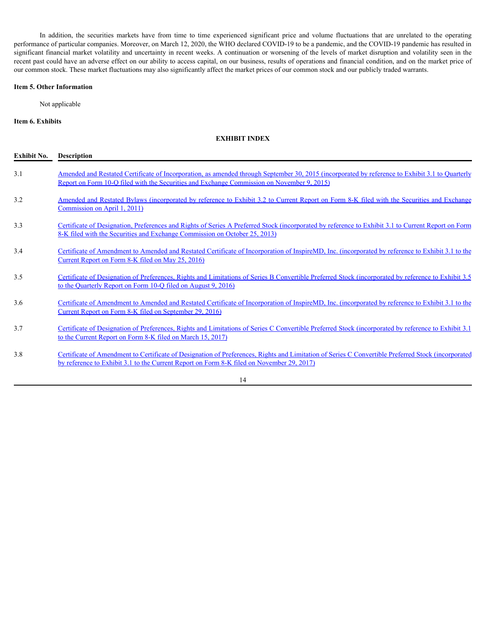In addition, the securities markets have from time to time experienced significant price and volume fluctuations that are unrelated to the operating nee of particular companies. Moreover, on March 12, 2020, the WHO declare performance of particular companies. Moreover, on March 12, 2020, the WHO declared COVID-19 to be a pandemic, and the COVID-19 pandemic has resulted in significant financial market volatility and uncertainty in recent weeks. A continuation or worsening of the levels of market disruption and volatility seen in the recent past could have an adverse effect on our ability to access capital, on our business, results of operations and financial condition, and on the market price of our common stock. These market fluctuations may also significantly affect the market prices of our common stock and our publicly traded warrants.

# <span id="page-29-0"></span>**Item 5. Other Information**

Not applicable

#### <span id="page-29-1"></span>**Item 6. Exhibits**

# **EXHIBIT INDEX**

| <b>Exhibit No.</b> | <b>Description</b>                                                                                                                                                                                                                              |
|--------------------|-------------------------------------------------------------------------------------------------------------------------------------------------------------------------------------------------------------------------------------------------|
| 3.1                | Amended and Restated Certificate of Incorporation, as amended through September 30, 2015 (incorporated by reference to Exhibit 3.1 to Quarterly<br>Report on Form 10-Q filed with the Securities and Exchange Commission on November 9, 2015)   |
| 3.2                | <u>Amended and Restated Bylaws (incorporated by reference to Exhibit 3.2 to Current Report on Form 8-K filed with the Securities and Exchange</u><br>Commission on April 1, 2011)                                                               |
| 3.3                | Certificate of Designation, Preferences and Rights of Series A Preferred Stock (incorporated by reference to Exhibit 3.1 to Current Report on Form<br><u>8-K filed with the Securities and Exchange Commission on October 25, 2013</u>          |
| 3.4                | Certificate of Amendment to Amended and Restated Certificate of Incorporation of InspireMD, Inc. (incorporated by reference to Exhibit 3.1 to the<br>Current Report on Form 8-K filed on May 25, 2016)                                          |
| 3.5                | Certificate of Designation of Preferences, Rights and Limitations of Series B Convertible Preferred Stock (incorporated by reference to Exhibit 3.5<br>to the Quarterly Report on Form 10-Q filed on August 9, 2016)                            |
| 3.6                | Certificate of Amendment to Amended and Restated Certificate of Incorporation of InspireMD, Inc. (incorporated by reference to Exhibit 3.1 to the<br>Current Report on Form 8-K filed on September 29, 2016)                                    |
| 3.7                | <u>Certificate of Designation of Preferences, Rights and Limitations of Series C Convertible Preferred Stock (incorporated by reference to Exhibit 3.1</u><br>to the Current Report on Form 8-K filed on March 15, 2017)                        |
| 3.8                | Certificate of Amendment to Certificate of Designation of Preferences, Rights and Limitation of Series C Convertible Preferred Stock (incorporated<br>by reference to Exhibit 3.1 to the Current Report on Form 8-K filed on November 29, 2017) |
|                    | 14                                                                                                                                                                                                                                              |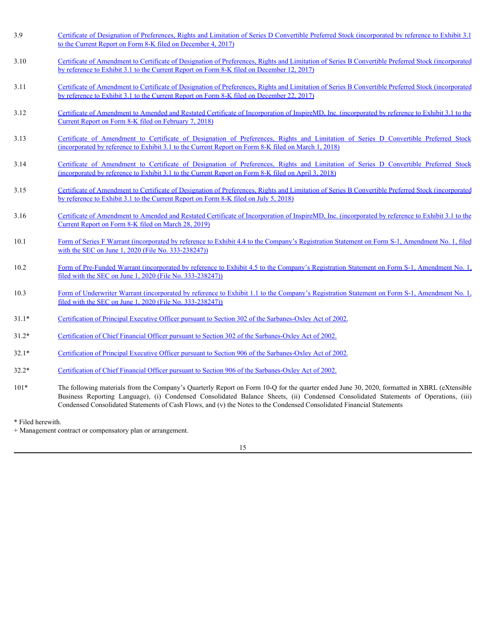| 3.9  | Certificate of Designation of Preferences, Rights and Limitation of Series D Convertible Preferred Stock (incorporated by reference to Exhibit 3.1)<br>to the Current Report on Form 8-K filed on December 4, 2017)                             |
|------|-------------------------------------------------------------------------------------------------------------------------------------------------------------------------------------------------------------------------------------------------|
| 3.10 | Certificate of Amendment to Certificate of Designation of Preferences, Rights and Limitation of Series B Convertible Preferred Stock (incorporated<br>by reference to Exhibit 3.1 to the Current Report on Form 8-K filed on December 12, 2017) |
| 3.11 | Certificate of Amendment to Certificate of Designation of Preferences, Rights and Limitation of Series B Convertible Preferred Stock (incorporated<br>by reference to Exhibit 3.1 to the Current Report on Form 8-K filed on December 22, 2017) |
| 3.12 | Certificate of Amendment to Amended and Restated Certificate of Incorporation of InspireMD, Inc. (incorporated by reference to Exhibit 3.1 to the<br>Current Report on Form 8-K filed on February 7, 2018)                                      |
| 3.13 | Certificate of Amendment to Certificate of Designation of Preferences, Rights and Limitation of Series D Convertible Preferred Stock<br>(incorporated by reference to Exhibit 3.1 to the Current Report on Form 8-K filed on March 1, 2018)     |
| 3.14 | Certificate of Amendment to Certificate of Designation of Preferences, Rights and Limitation of Series D Convertible Preferred Stock<br>(incorporated by reference to Exhibit 3.1 to the Current Report on Form 8-K filed on April 3, 2018)     |
| 3.15 | Certificate of Amendment to Certificate of Designation of Preferences, Rights and Limitation of Series B Convertible Preferred Stock (incorporated<br>by reference to Exhibit 3.1 to the Current Report on Form 8-K filed on July 5, 2018)      |
|      |                                                                                                                                                                                                                                                 |

- 3.10 Certificate of Amendment to Certificate of Designation of Preferences, Rights and Limitation of Series B Convertible Preferred Stock (incorporated by reference to Exhibit 3.1 to the Current Report on Form 8-K filed on December 12, 2017)
- 3.11 Certificate of Amendment to Certificate of Designation of Preferences, Rights and Limitation of Series B Convertible Preferred Stock (incorporated by reference to Exhibit 3.1 to the Current Report on Form 8-K filed on December 22, 2017)
- 3.12 Certificate of Amendment to Amended and Restated Certificate of Incorporation of InspireMD, Inc. (incorporated by reference to Exhibit 3.1 to the Current Report on Form 8-K filed on February 7, 2018)
- (incorporated by reference to Exhibit 3.1 to the Current Report on Form 8-K filed on March 1, 2018)
- (incorporated by reference to Exhibit 3.1 to the Current Report on Form 8-K filed on April 3, 2018)
- 3.15 Certificate of Amendment to Certificate of Designation of Preferences, Rights and Limitation of Series B Convertible Preferred Stock (incorporated by reference to Exhibit 3.1 to the Current Report on Form 8-K filed on July 5, 2018)
- 3.16 Certificate of Amendment to Amended and Restated Certificate of Incorporation of InspireMD, Inc. (incorporated by reference to Exhibit 3.1 to the Current Report on Form 8-K filed on March 28, 2019)
- 10.1 Form of Series F Warrant (incorporated by reference to Exhibit 4.4 to the Company's Registration Statement on Form S-1, Amendment No. 1, filed with the SEC on June 1, 2020 (File No. 333-238247))
- 10.2 Form of Pre-Funded Warrant (incorporated by reference to Exhibit 4.5 to the Company's Registration Statement on Form S-1, Amendment No. 1, filed with the SEC on June 1, 2020 (File No. 333-238247))
- 10.3 Form of Underwriter Warrant (incorporated by reference to Exhibit 1.1 to the Company's Registration Statement on Form S-1, Amendment No. 1, filed with the SEC on June 1, 2020 (File No. 333-238247))
- 31.1\* Certification of Principal Executive Officer pursuant to Section 302 of the Sarbanes-Oxley Act of 2002.
- 31.2\* Certification of Chief Financial Officer pursuant to Section 302 of the Sarbanes-Oxley Act of 2002.
- 32.1\* Certification of Principal Executive Officer pursuant to Section 906 of the Sarbanes-Oxley Act of 2002.
- 32.2\* Certification of Chief Financial Officer pursuant to Section 906 of the Sarbanes-Oxley Act of 2002.
- 101\* The following materials from the Company's Quarterly Report on Form 10-Q for the quarter ended June 30, 2020, formatted in XBRL (eXtensible Certificateof Amendman to Certificate of Designation of Preferences. Lights and Limitation of Esties D. Convertible Preferent Stock<br>Certificate of Amendman to Certificate of Designation of Preferences, Rights and Limitati Condensed Consolidated Statements of Cash Flows, and (v) the Notes to the Condensed Consolidated Financial Statements

\* Filed herewith.

+ Management contract or compensatory plan or arrangement.

15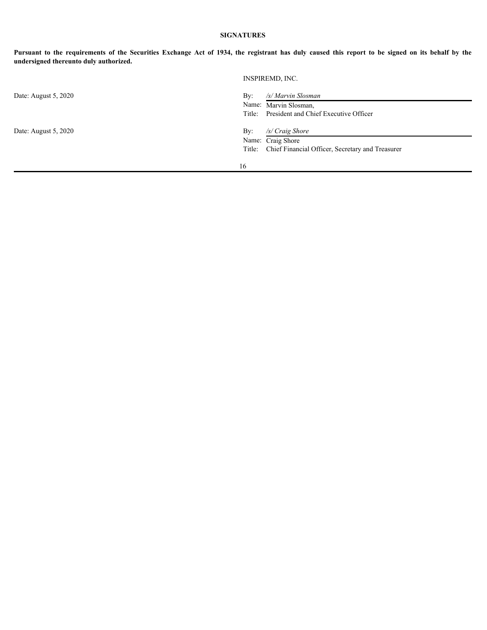# **SIGNATURES**

|                                        | <b>SIGNATURES</b>                                                                                                                                 |  |
|----------------------------------------|---------------------------------------------------------------------------------------------------------------------------------------------------|--|
| undersigned thereunto duly authorized. | Pursuant to the requirements of the Securities Exchange Act of 1934, the registrant has duly caused this report to be signed on its behalf by the |  |
|                                        | INSPIREMD, INC.                                                                                                                                   |  |
| Date: August 5, 2020                   | /s/ Marvin Slosman<br>By:<br>Name: Marvin Slosman,                                                                                                |  |
|                                        | President and Chief Executive Officer<br>Title:                                                                                                   |  |
| Date: August 5, 2020                   | /s/ Craig Shore<br>By:<br>Name: Craig Shore                                                                                                       |  |
|                                        | Title: Chief Financial Officer, Secretary and Treasurer                                                                                           |  |
|                                        | 16                                                                                                                                                |  |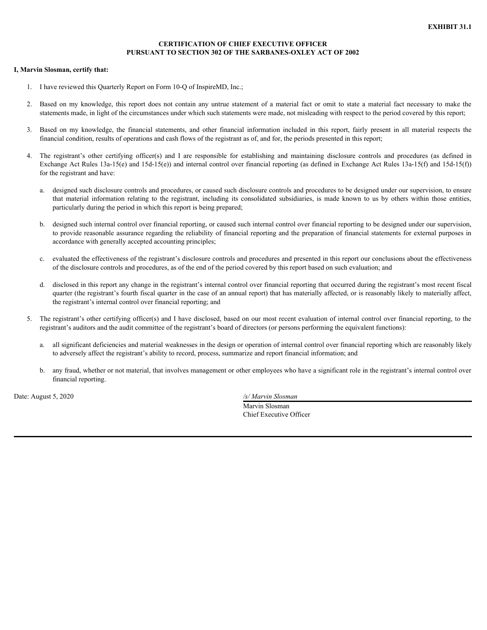# **CERTIFICATION OF CHIEF EXECUTIVE OFFICER PURSUANT TO SECTION 302 OF THE SARBANES-OXLEY ACT OF 2002**

# <span id="page-32-0"></span>**I, Marvin Slosman, certify that:**

- 1. I have reviewed this Quarterly Report on Form 10-Q of InspireMD, Inc.;
- statements made, in light of the circumstances under which such statements were made, not misleading with respect to the period covered by this report;
- financial condition, results of operations and cash flows of the registrant as of, and for, the periods presented in this report;
- EXHIBIT 31.1<br> **EXHIBIT 31.1**<br> **PURSUANT TO SECTION 302 OF THE SARBANES-OXLEY ACT OF 2002**<br> **Rave reviewed this Quarterly Report on Form 10-Q of InspireMD, Inc.;**<br>
2. Based on my knowledge, this report does not contain any EXHIBIT 31.1<br>
8. BASED CONSTANT TO SECTION 302 OF THE SARBANES-OXLEY ACT OF 2002<br>
3. Based on my knowledge, this report do Form 10-Q of InspireMD, Inc.;<br>
3. Based on my knowledge, this report does not contain any untrue st EXHIBIT 31.1<br> **EXECUTIVE OFFICER**<br> **A. The reviewed this Quaterly Report on Form 10-Q of InspireMD, Inc.;**<br>
1. I have reviewed this Quaterly Report on Form 10-Q of InspireMD, Inc.;<br>
2. Based on my knowledge, this report do Exchange Act Rules 13a-15(e) and 15d-15(e)) and internal control over financial reporting (as defined in Exchange Act Rules 13a-15(f) and 15d-15(f)) for the registrant and have: EXHIBIT 31.1<br> **EXHIBIT 31.1**<br> **EXHIBIT 31.1**<br> **EXHIBIT 31.1**<br> **EXHIBIT 31.1**<br> **EXHIBIT 31.1**<br> **EVALUANT TO SECTION 300 OF THE SARBANES-OXLEY ACT OF 2002**<br> **EVALUANT CONSUMPLE CONSUMPLE CONSUMPLE CONSUMPLE CONSUMPLE AND THE** 
	- a. designed such disclosure controls and procedures, or caused such disclosure controls and procedures to be designed under our supervision, to ensure particularly during the period in which this report is being prepared;
	- b. designed such internal control over financial reporting, or caused such internal control over financial reporting to be designed under our supervision, to provide reasonable assurance regarding the reliability of financial reporting and the preparation of financial statements for external purposes in accordance with generally accepted accounting principles;
	- c. evaluated the effectiveness of the registrant's disclosure controls and procedures and presented in this report our conclusions about the effectiveness of the disclosure controls and procedures, as of the end of the period covered by this report based on such evaluation; and
	- d. disclosed in this report any change in the registrant's internal control over financial reporting that occurred during the registrant's most recent fiscal quarter (the registrant's fourth fiscal quarter in the case of an annual report) that has materially affected, or is reasonably likely to materially affect, the registrant's internal control over financial reporting; and
- 5. The registrant's other certifying officer(s) and I have disclosed, based on our most recent evaluation of internal control over financial reporting, to the registrant's auditors and the audit committee of the registrant's board of directors (or persons performing the equivalent functions):
	- a. all significant deficiencies and material weaknesses in the design or operation of internal control over financial reporting which are reasonably likely to adversely affect the registrant's ability to record, process, summarize and report financial information; and
	- b. any fraud, whether or not material, that involves management or other employees who have a significant role in the registrant's internal control over financial reporting.

Date: August 5, 2020 */s/ Marvin Slosman*

Marvin Slosman Chief Executive Officer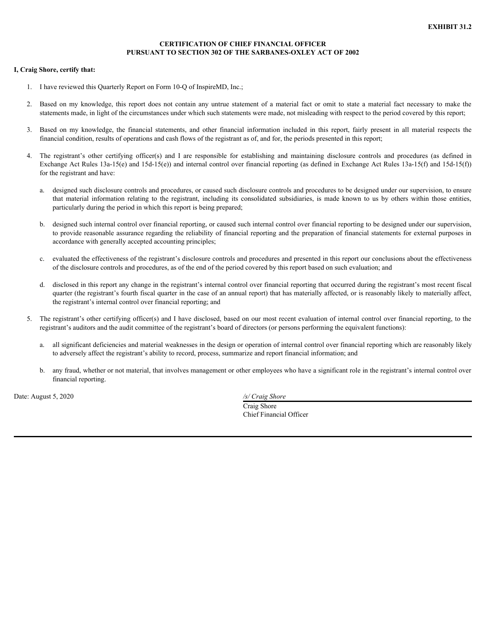# **CERTIFICATION OF CHIEF FINANCIAL OFFICER PURSUANT TO SECTION 302 OF THE SARBANES-OXLEY ACT OF 2002**

# <span id="page-33-0"></span>**I, Craig Shore, certify that:**

- 1. I have reviewed this Quarterly Report on Form 10-Q of InspireMD, Inc.;
- statements made, in light of the circumstances under which such statements were made, not misleading with respect to the period covered by this report;
- financial condition, results of operations and cash flows of the registrant as of, and for, the periods presented in this report;
- EXHIBIT 31.2<br> **EXHIBIT 31.2**<br> **PURSUANT TO SECTION 302 OF THE SARBANES-OXLEY ACT OF 2002**<br> **2.** Based on my knowledge, this report does not contain any untrue statement of a material fact or omit to state a material fact n **EXHIBICATION OF CHIEF FINANCIAL OFFICER**<br> **3. Based on my knowledge, this Quarterly Report on Form 10-Q of InspireMD, Inc.;**<br>
3. Based on my knowledge, this report does not contain any untrue statement of a material fact EXHIBIT 31.2<br>
PURSUANT TO SECTION 302 OF THE SARBANES-OXLEY ACT OF 2002<br>
1. I have reviewed this Quarterly Report on Form 10-Q of InspireMD, Inc.;<br>
2. Hased on my knowledge, this report does not contain any untrue statemen Exchange Act Rules 13a-15(e) and 15d-15(e)) and internal control over financial reporting (as defined in Exchange Act Rules 13a-15(f) and 15d-15(f)) for the registrant and have: EXHIBIT 31.2<br> **EXHIBIT 31.2**<br> **EXHIBIT 31.2**<br> **EXHIBIT 31.2**<br> **EXHIBIT 31.2**<br> **EXHIBIT 31.2**<br> **EVALUA TTO SECTION 300 OF THE SARBANES-OXLEY ACT OF 2002**<br> **EVALUA DEC**<br> **EVALUA CONSOLUTE CONSOLUTE CONSOLUTE AND THE SARBANES** 
	- a. designed such disclosure controls and procedures, or caused such disclosure controls and procedures to be designed under our supervision, to ensure particularly during the period in which this report is being prepared;
	- b. designed such internal control over financial reporting, or caused such internal control over financial reporting to be designed under our supervision, to provide reasonable assurance regarding the reliability of financial reporting and the preparation of financial statements for external purposes in accordance with generally accepted accounting principles;
	- c. evaluated the effectiveness of the registrant's disclosure controls and procedures and presented in this report our conclusions about the effectiveness of the disclosure controls and procedures, as of the end of the period covered by this report based on such evaluation; and
	- d. disclosed in this report any change in the registrant's internal control over financial reporting that occurred during the registrant's most recent fiscal quarter (the registrant's fourth fiscal quarter in the case of an annual report) that has materially affected, or is reasonably likely to materially affect, the registrant's internal control over financial reporting; and
- 5. The registrant's other certifying officer(s) and I have disclosed, based on our most recent evaluation of internal control over financial reporting, to the registrant's auditors and the audit committee of the registrant's board of directors (or persons performing the equivalent functions):
	- a. all significant deficiencies and material weaknesses in the design or operation of internal control over financial reporting which are reasonably likely to adversely affect the registrant's ability to record, process, summarize and report financial information; and
	- b. any fraud, whether or not material, that involves management or other employees who have a significant role in the registrant's internal control over financial reporting.

Date: August 5, 2020 */s/ Craig Shore*

Craig Shore Chief Financial Officer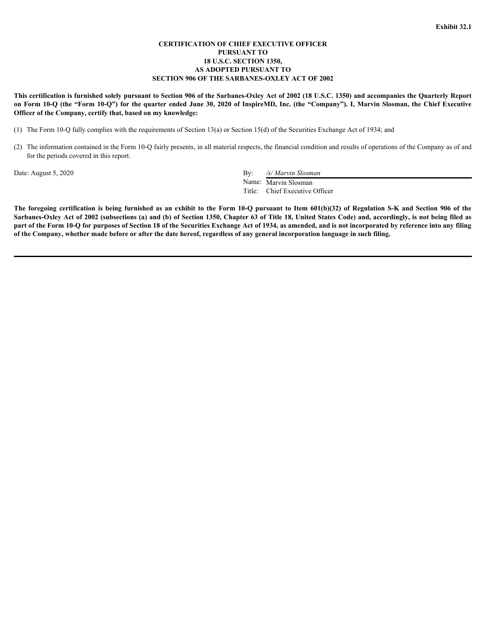# **CERTIFICATION OF CHIEF EXECUTIVE OFFICER PURSUANT TO 18 U.S.C. SECTION 1350, AS ADOPTED PURSUANT TO SECTION 906 OF THE SARBANES-OXLEY ACT OF 2002**

**This certification is furnished solely pursuant to Section 906 of the Sarbanes-Oxley Act of 2002 (18 U.S.C. 1350) and accompanies the Quarterly Report EXELUTE CATION OF CHIEF EXECUTIVE OFFICER**<br> **on FORM 10-ALS (SEC. SECTION 1350)**<br>
SECTION 1950 (SEC. SECTION 1350)<br>
SECTION 966 OF THE SARBANES-OXLEY ACT OF 2002<br> **ON FORM 10-Q"**) for the quarter ended June 30, 2020 of In **Officer of the Company, certify that, based on my knowledge:**

(1) The Form 10-Q fully complies with the requirements of Section 13(a) or Section 15(d) of the Securities Exchange Act of 1934; and

(2) The information contained in the Form 10-Q fairly presents, in all material respects, the financial condition and results of operations of the Company as of and for the periods covered in this report.

Date: August 5, 2020 By: */s/ Marvin Slosman*

Name: Marvin Slosman Title: Chief Executive Officer

<span id="page-34-0"></span>**THE FORE THE FORE CERTIFICATION OF CHIEF EXECUTIVE OFFICER**<br> **THE CERTIFICATION SECTION 350,**<br> **THE CERTIFICATION SECTION 350,**<br> **THE CERTIFICATION SECTION 360,**<br> **THE CERTIFICATION SECTION 360 OF THE SNEWARES-OXLECT OF 2 Sarbanes-Oxley Act of 2002 (subsections (a) and (b) of Section 1350, Chapter 63 of Title 18, United States Code) and, accordingly, is not being filed as part of the Form 10-Q for purposes of Section 18 of the Securities Exchange Act of 1934, as amended, and is not incorporated by reference into any filing of the Company, whether made before or after the date hereof, regardless of any general incorporation language in such filing.**